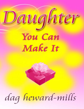

dag heward-mills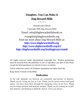# **Daughter, You Can Make It Dag Heward-Mills**

\* \* \* \* \*

Smashwords Edition Copyright 2006 Dag Heward-Mills Email: info@daghewardmillsbooks.or evangelist@daghewardmills.org Find out more about Dag Heward-Mills at: *[http://www.daghewardmills.org](http://www.daghewardmills.org/) <http://www.daghewardmills.org/lci/> <http://daghewardmills.org/healingjesuscrusade>*

All rights reserved under international copyright law. Written permission must be secured from the publisher to use or reproduce any part of this book, except for brief quotations in critical reviews or articles.

Unless otherwise stated, all Scripture quotations are taken from the

King James Version of the Bible.

# *Dedication*

*To my wife Adelaide, my beloved, my counsellor and partner in ministry. Thank you for loving me just as I am. Thank you for good counsel and good advice. You have been there through the changing scenes of our lives. Thank you for being spiritual and ministry-minded. Thank you for joining me in fulltime ministry and helping to build the church. I love you always.*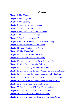#### *Contents*

- Chapter 1. The [Women](#page-6-0)
- Chapter 2. The [Daughters](#page-8-0)
- Chapter 3. The [Covering](#page-11-0)
- Chapter 4. [Daughter,](#page-13-0) It's Your Honour
- Chapter 5. [Daughter,](#page-15-0) It's Your Turn
- Chapter 6. The [Temptations](#page-17-0) of the Daughters
- Chapter 7. The Sins of the [Daughters](#page-23-0)
- Chapter 8. [Daughter,](#page-27-0) You Made It!
- Chapter 9. With All Your Getting, Get [Understanding](#page-35-0)
- Chapter 10. Where [Frustration](#page-36-0) Came From
- Chapter 11. Seven [Frustrations](#page-37-0) of Women
- Chapter 12. The [Woman's](#page-41-0) Keys
- Chapter 13. [Daughter,](#page-45-0) While You Wait!
- Chapter 14. Daughter, Catch the [Anointing](#page-52-0)
- Chapter 15. Daughter, Is There a Curse [Somewhere?.](#page-57-0)
- Chapter 16. Why Women Must Be [Spiritual](#page-59-0)
- Chapter 17. [Understanding](#page-61-0) the Seed of the Woman
- Chapter 18. [Understanding](#page-68-0) the Curse Associated with Childbearing
- Chapter 19. Overcoming the Curse Associated with [Childbearing](#page-66-0)
- Chapter 20. [Understanding](#page-68-0) the Curse Associated with Marriage
- Chapter 21. [Overcoming](#page-70-0) the Curse Associated with Marriage
- Chapter 22. [Daughter,](#page-73-0) You Have Tender Eyes
- Chapter 23. [Daughter,](#page-75-0) God Will Give You a Husband
- Chapter 24. [Daughter,](#page-77-0) God Will Give You a Child
- Chapter 25. [Daughter,](#page-78-0) Keep on Serving the Lord
- Chapter 26. [Daughter,](#page-81-0) Don't Be Tired of Doing Your Duties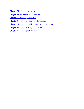Chapter 27. All about *[Abigailism](#page-84-0)*

Chapter 28. Six Goals of *[Abigailism](#page-85-0)*

Chapter 29. Steps to *[Abigailism](#page-90-0)*

Chapter 30. [Daughter,](#page-96-0) You Can Be Replaced

Chapter 31. Daughter Will You Obey Your [Husband?](#page-98-0)

Chapter 32. [Daughter](#page-101-0) Keep Your Place

Chapter 33. [Daughter](#page-105-0) of Destiny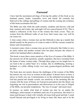# *Foreword*

I have had the uncommon privilege of having the author of this book as my husband, pastor, leader, counsellor, lover and friend. He certainly has believed in the callings and giftings of women and the coming into existence of this book accentuates this fact.

The Bible says that while the earth remains, seedtime and harvest, cold and heat, summer and winter, day and night will not cease,(Genesis 8:22). This is indeed a reflection of the lives of the women this book covers. They are women from the different walks of our lives; their issues may very well be our issues too.

A time comes when a woman rises up like Deborah to take up a mantle that should usually be the preserve of a man in order to fill the vacuum created by history and circumstances.

A moment comes when a woman rises up out of obscurity like Esther to save an entire nation and another woman loses her place because she refuses to yield to her husband albeit a drunken one.

This book is more than a mere narrative of the lives of women of the Bible. It has answers for all the questions, usually unspoken, that have resonated from the hearts of many women today. Through these pages we are taught how to see God in the so called 'bane' of a woman, like in childbearing, desiring a husband, or a child, sibling rivalry over man, gynaecological problems and the like.

The book does not merely discuss the challenges of the women of the Bible but mirrors our very lives as women on this planet. It doesn't leave us here; it shows us God's way out. It demonstrates to us the unlimited investment that God has poured into female vessels: our sensitivity to the anointing like the woman with the issue of blood, our God-given perception into the future; not forgetting our role as peacemakers and intercessors as in the case of Abigail of the Bible, our peculiar temptations, "the way of escape" and much more.

In essence, no matter what kind of woman one may be, no matter the challenges, achievements or attributes each one of us possesses, this book is a must-read because it deals with virtually all issues both good and bad. I count myself blessed and privileged to be living in times like these and to be the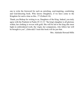one to write the foreword for such an enriching, soul-inspiring, comforting and God-directing book. Who knows Daughters, if we have come to the Kingdom for such a time as this...!!! (Esther4:14).

Thank you Bishop for writing to us, Daughters of the King. Indeed, you truly agree with the Psalmist in Psalm 45:13-15: "the king's daughter is all glorious within; her clothing is woven with gold. She will be led to the king (the most high) in embroidered work; the virgin, her companions, who follow her will be brought to you", (Jehovah)! I trust this book will do just that.

Mrs. Adelaide Heward-Mills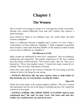# **The Women**

<span id="page-6-0"></span>This is a book I am writing to women. It is a message for women everywhere. Women were created differently from men and I believe they deserve a special message.

Jesus referred to ladies in two different ways. He would either call them women or daughters.

There is a difference between a daughter and a woman. If I were a lady, I would prefer it if Jesus called me "daughter". I think a daughter is generally more receptive, more open and more humble. In the natural, an adult woman is not as easy to influence as a daughter is.

## **The Bitterness of Life**

Many women are embittered by their lives' experiences. They are hardened, unforgiving and unmerciful. The painful experiences of life have washed away the beauty of faith and trust. "Never trust a man," they say. They say to themselves, "Never trust another woman." I notice how many women live in solitude. They are loners with almost no friends.

Notice how Jesus spoke to the woman of Samaria. He was trying to get this woman to believe the things he was saying.

## **…WOMAN, BELIEVE ME, the hour cometh, when ye shall neither in this mountain, nor yet at Jerusalem, worship the Father.**

### **John 4:21**

Notice how Jesus spoke to the woman caught in adultery. This was a woman who had almost lost her life at the hands of unforgiving men. He wanted her to believe in love again.

**…WOMAN, WHERE ARE THOSE THINE ACCUSERS? hath no man condemned thee? She said, No man, Lord. And Jesus said unto her, Neither do I condemn thee: go, and sin no more.**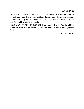#### **John 8:10, 11**

Notice also how Jesus spoke to this woman who had suffered from scoliosis for eighteen years. This woman had been through many things. She had been in bitterness and pain for a long time. This woman needed a miracle. Notice how Jesus addressed her in church:

**…WOMAN, THOU ART LOOSED from thine infirmity. And he laid his hands on her: and immediately she was made straight, and glorified God.**

**Luke 13:12, 13**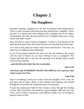# **The Daughters**

<span id="page-8-0"></span>Naturally speaking, daughters are not full of bitterness and unforgiveness. There is some sweetness and innocence that characterizes a daughter. Above all, there is a special trust and confidence that a daughter has for her father. Unfortunately, the faith, the hope and the love of daughters fade away as they mature into adult women.

Jesus did refer to some women as daughters. I believe it was because of the faith that they had in him. He noticed the pure love that they had toward him.

Let's look at this group of women whom Jesus ministered to. This time, we notice how he addresses them differently.

In one of the greatest miracles that Jesus ever did, the healing of the woman with the issue of blood, we see Jesus referring to her as a daughter! This woman had been able to tap into the anointing even though others around could not feel anything.

**...and she felt in her body that she was healed…**

# **Mark 5:29**

# **And Jesus said, SOMEBODY HATH TOUCHED me: for I perceive that virtue is gone out of me.**

# **Luke 8:46**

There is something I want you to notice about this daughter. First of all, she had great trust in Jesus' ability. In her sickness and weakness, she pressed through the crowd until she touched the hem of his garment.

It must have taken great faith for this woman to press through the teeming crowds. That is precisely what made her a great daughter: faith and trust. Her twelve years of bitter experiences with different people were not enough to quench a heart of faith.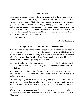### **Wary Women**

Sometimes, a background of sinful experiences with different men makes it difficult for a woman to trust any man. She has little confidence in her father, her pastor or any man of God. She simply cannot believe in the existence of goodness and purity. Sometimes, just by growing up in a culture of suspicion and gossip, the seeds of mistrust are sown forever. Such women tend to be perpetually doubtful, unbelieving, sceptical and suspicious. Typically, a woman who is unable to trust is unable to love. She is full of fear. Perfect love casts out fear. The Bible says love

**…believeth all things…**

# **1 Corinthians 13:7**

## **Daughters Receive the Anointing of Their Fathers**

The other outstanding mark about this daughter, (the woman with the issue of blood), was the fact that she received the anointing of Jesus. This is the only record in the Bible of the anointing flowing from one person to another in which both parties literally felt it. Jesus felt the anointing leaving him and the daughter felt the anointing coming into her body.

You see, it is children who receive the most precious gifts from their parents. It is children and not equals or colleagues who receive an inheritance from their fathers.

There comes a time in the life of a woman where she tends to challenge the authority of a man. I do not blame her because many men are irresponsible and untrustworthy.

However, fighting against men and campaigning against their authority may easily keep you from the anointing. You will have a perpetually resistant attitude towards God's gift. You see, many of the vessels that God uses are men.

When you receive someone as a father, you open yourself up to receive the ultimate gift from him. Perhaps, that is why Jesus referred to her as "daughter".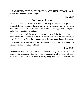# **…DAUGHTER, THY FAITH HATH MADE THEE WHOLE; go in peace, and be whole of thy plague.**

#### **Mark 5:34**

#### **Daughters Are Forever**

On another occasion, when Jesus was on his way to the cross, a large crowd of people followed him. In this crowd, there were women who were unhappy about the injustice that was being done to him. They supported him openly and publicly identified with him.

In the hour when all the men and apostles deserted the Lord, the women stood strong. Jesus turned to them and ministered words of prophecy from his heart. He did not refer to these supportive ladies as women, but as daughters.

### **…DAUGHTERS OF JERUSALEM, weep not for me, but weep for yourselves, and for your children.**

#### **Luke 23:28**

Decide to be a woman whom Jesus would see as a daughter. Someone who is open to the anointing! Someone who is supportive of the man of God! Someone who is prepared to identify openly and passionately with the vision!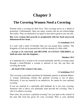# **The Covering Women Need a Covering**

<span id="page-11-0"></span>Women need a covering for their lives. This covering serves as a shield of protection. Unfortunately, there are many women who do not acknowledge this reality. They see themselves as equal to men and as good as any one else.

#### **But every woman that prayeth or prophesieth with her head uncovered dishonoureth her head…**

## **1 Corinthians 11:5**

It is only with a spirit of humility that you can accept these realities. The Kingdom of God can be pursued best with the attitude of a little child.

## **…Except ye be converted, and BECOME AS LITTLE CHILDREN, ye shall not enter into the kingdom…**

### **Matthew 18:3**

It is important for a woman to be covered spiritually and this covering comes through a head.Whether a woman is married or not, she can have the covering she needs.

#### **…the head of the woman is the man…**

# **1 Corinthians 11:3**

This covering is provided sometimes by husbands, pastors or spiritual fathers. A woman ministering without this spiritual covering is out of place. Obviously, if you are married to an unbeliever, he cannot be your spiritual covering.

If you are married to a spiritually dull husband, he is not your covering. Someone who is above you spiritually must provide the covering. That is why it is called a covering.

Dear sister, do you have a spiritual covering? Are you open to the counsel of the men that God has given for your covering? Who is your spiritual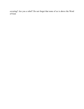covering? Are you a rebel? Do not forget that none of us is above the Word of God.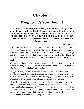# **Daughter, It's Your Honour!**

<span id="page-13-0"></span>**And Barak said unto her, If thou wilt go with me, then I will go: but if thou wilt not go with me, then I will not go. And she said, I will surely go with thee: notwithstanding the journey that thou takest SHALL NOT BE FOR THINE HONOUR; FOR THE LORD SHALL SELL SISERA INTO THE HAND OF A WOMAN. And Deborah arose, and went with Barak to Kedesh.**

#### **Judges 4:8, 9**

In this story, a woman was given the opportunity to take the honour from a man. A man's job fell into the hands of a woman! Instead of a man rising up to his God-given role of leadership, a woman had to take up the challenge and do his work. This is what is happening in the church today. There are many men who have shirked their responsibilities as leaders and spiritual heads.

Women are doing the things men are supposed to do. And I am happy to say women are doing these jobs very well. There are Deborahs who are ready to take the honour and win battles for the Lord.

I suggest to every pastor, to release the Deborahs into the harvest fields. What the Baraks cannot do, God has raised up Deborahs to do. In my own experience, I have found that women are very good pastors and shepherds. When they get their hands to the plough, things really get moving.

I have found women to be more receptive to the anointing and more open to spiritual leadership. Perhaps the original plan was that men should occupy these great leadership positions. Perhaps in the original plan men should have borne all the fruit. Unfortunately, there are always men like Barak, who for various reasons do not do what they are called to do. This is why God has to fall on people like Deborah to accomplish his will.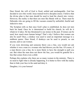Dear friend, the will of God is fixed, settled and unchangeable. God has decided to save this world. Jesus trained twelve disciples (men). I believe that the divine plan is that men should be used to lead the church into victory. However, the reality is that there are men like Barak with us. There must be Deborahs who are going to fill the vacuum created by unfruitful, fearful and indecisive men.

The Scripture tells us that once God's plan is established, he does not turn back his hand. Once he is determined to build his church, he will do it whatever it takes. He has threatened to use stones in the past. If stones can be used, how much more human beings? That's why I believe that women can also be used! Once, a donkey was used to send an important message to a stubborn pastor. Dear friend, if donkeys can be used to preach, so can anyone; and so can women.

If you were drowning and someone threw you a line, you would not ask whether it was a man or a woman who had thrown you the line. Of course, if a man throws you a line, he is more likely to have the strength to pull you out. But when the man does not throw the line, you would be grateful for a line that comes from even a child.

Perhaps this explains why there are so many women in the ministry. There is no need to fight what is already happening. It is better to flow with the reality than to hide your face in the sand and deny it.

Daughter, it is your honour!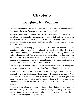# **Daughter, It's Your Turn**

<span id="page-15-0"></span>I believe it is the turn of women to rise up. It is the turn of women to come to the front of the battle. Woman, it is your turn to be a leader!

Men have dominated the field of ministry for many years. Too often, women have been seen as people who cause men of God to fall. But there is far more to a woman than her physical body. It is the turn of women to influence the human race with their spirituality and their anointing. Daughter, it's your turn to be spiritual!

After centuries of being good receivers, it's time for women to give something. Kathryn Khulman introduced the world to the Holy Spirit in a special way. I know of no one who has operated in the healing anointing as Kathryn Khulman did! That is a signal to all women that it is their turn to be anointed. Just like the woman with the issue of blood who received the healing anointing, many women are going to receive the anointing to minister in power. Daughter, it's your turn to be anointed!

I read a prophecy which declared that it is the era of the lioness. God is going to use the woman to bruise the head of the Serpent (Satan) in the last battle.

When we get to Heaven there will be no marriage. There will be no husbands, wives or children. All these things will not matter anymore. What will count is whether you fulfilled your ministry or not! Perhaps you have been seen as an object of a man's pleasure. Today, it's your turn to do something for God in the ministry. Daughter, it is time to rise up in the ministry.

Perhaps you have been kept under by the problems that arise from marriage and childbearing. But this is your hour to emerge in full glory. When a woman takes up a mantle and walks in the wisdom of God she is indestructible! Daughter, it's your turn.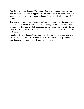Daughter, it is your honour! This means that it is an opportunity for you to bear fruit for God. It is an opportunity for you to do great things. You can stand side by side with every man, call upon the grace of God and you will do just as well.

This does not mean you are "as good as" in a proud sense. All it means is that you are another Deborah whom God has raised up because the Baraks are too scared, doubtful, uninterested, uncommitted, unwilling and cynical. "To be cynical," means "to be disinclined to recognize or believe in goodness or selflessness".

Daughter, it's your honour! It is your turn! This is a prophetic message to all women. It is the season for women to be fruitful in the ministry. Be humble, be a daughter! The anointing will come upon your life.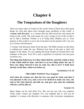# **The Temptations of the Daughters**

<span id="page-17-0"></span>There are many types of women in the world. Some of them have done great things for God and others have brought many problems to this world. A *'woman with direction'*, is a woman who has discovered her real reason for being in this world. The real reason for every woman to be in this world is not to find a husband. Neither is it to bring forth children, per se. Your purpose in this world is to serve the Lord and to do his perfect will. I see you as a woman with direction!

A woman with direction learns from the past. The Bible teaches us that there is nothing new under the sun. Whatever has been in the past is what will happen in the future. No one reading this book should see herself above the mistakes of the past. Your life is just a repetition of someone who has gone on before you.

**The thing that hath been, it is that which shall be; and that which is done is that which shall be done: and there is no new thing under the sun. Is there any thing whereof it may be said, See, this is new? it hath been already of old time, which was before us.**

**Ecclesiastes 1:9, 10**

### **THE FIRST WOMAN Was Tempted**

**And when the woman saw that the tree was good for food, and that it was pleasant to the eyes, and a tree to be desired to make one wise, she took of the fruit thereof, and did eat, and gave also unto her husband with her; and he did eat.**

#### **Genesis 3:6**

Many things can be said about Eve. She was the one who was tempted. Today many women are tempted. Eve was tempted and so will you be tempted. A woman with direction is someone who overcomes temptations.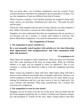Did you know that a set of distinct temptations exist for women? Every woman must know that there are temptations that are peculiar to women. You see, the temptations of men are different from that of women.

When I became a minister, I was told that ministers are tempted in three main areas: money, sex and fame. Somebody put it this way, "The gold, the girls and the glory."

Tailors are often tempted with the spirit of lying. Doctors are often tempted to have affairs with nurses. Lawyers are often tempted to be immoral.

Daughter, you must understand that there are temptations that are peculiar to you because you are a woman. A woman with wisdom is someone who knows about these temptations. You must be determined to overcome them.

# **The Temptations of Women**

# **1. The temptation to marry unbelievers**

**Be ye not unequally yoked together with unbelievers: for what fellowship hath righteousness with unrighteousness? and what communion hath light with darkness?**

# **2 Corinthians 6:14**

Many ladies are tempted to marry unbelievers. There are many non-Christian men who come knocking at the doors of young ladies. When no Christian brother is in sight, you are tempted to marry an unbeliever. This is very common. A woman with direction is able to resist this temptation and keep herself.

Many women are tempted to sleep with men. Often ladies sleep with half a dozen or more different men before they eventually settle down. Woman, you will be tempted to do this in order to secure the love of a man. When you go looking for tenderness and love you may receive it, but at a high price. Are you a woman with direction? Then keep yourself pure. Be a woman who overcomes her temptations.

# **2. The temptation to trust in your beauty**

Daughter, do not be taken in by the lies of the devil. Did you think that the devil had stopped whispering lies to women? Certainly not! Demons whisper lies and deception to women all the time. Many women believe that their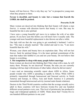beauty will last forever. This is why they say "no" to prospective young men when they propose to them.

## **Favour is deceitful, and beauty is vain: but a woman that feareth the LORD, she shall be praised.**

### **Proverbs 31:30**

Many women are deceived into thinking that their beauty will charm a man forever. A woman with direction knows that beauty is vain. She may be beautiful but she is also spiritual.

I have seen a young beautiful girl move in to replace the wife of an older person. If you have seen this before you will know how it usually ends. The younger and more beautiful replacement is also thrown out after a while.

One lady told me that she was going to get somebody's husband. I said to her, "The man is already married." She smiled and said to me, "I am more beautiful than his wife."

Woman, your charm and beauty have an expiration date. They will not last forever. Seek for spiritual things. It is the inner spiritual commitment of the man that makes him faithful to you and not your beauty. Do not believe that beauty is everything.

## **3. The temptation to sleep with many people before marriage**

Some women are deceived into thinking that if they sleep with a man, he will marry them. Woman, be not deceived! Woman, the man you are currently sleeping with has slept with dozens of other ladies whom he did not marry!

I once read an interesting scientific report about AIDS in Africa. Some people wonder why AIDS is spreading so rapidly in Africa. While AIDS is primarily transmitted through homosexual and bisexual activity in North America and Europe, in Africa, Asia and South America it is primarily transmitted through heterosexual activity (normal male-female relations).

Doctors in the Third World countries confirm that the average sexually active adult in these countries will have between twenty-five and one hundred different sexual partners every year. This level of promiscuity has produced a tragic and widespread epidemic of AIDS. Think about that! Twenty-five to one hundred different partners in one year!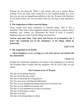Woman, be not deceived. When a man sleeps with you it means almost nothing. If he can sleep with twenty-five to one hundred people in a year, then you are just an insignificant addition to his list. Woman with direction, do not believe these lies. Do not believe that sex can keep a man attached to you.

# **4. The temptation to follow material things**

Some women have their confidence in material things. This is also a deception. They believe their happiness hinges on having nice carpets, chairs, furniture, cars, clothes, etc. Remember the Word of God! A woman's happiness does not come from the things she possesses.

**And he said unto them, Take heed, and beware of covetousness: for a man's life consisteth not in the abundance of the things which he possesseth.**

**Luke 12:15**

## **5. The temptation to be fearful**

… **whose daughters ye are, as long as ye do well, and are not afraid with any amazement.**

### **1 Peter 3:6**

Perhaps the commonest temptation of women is the temptation to be fearful. The Scripture above teaches that the daughters will do well if they are not afraid.

### **The Common Fears of Women**

The fear of not getting married The fear of not having a child The fear of marrying the wrong person The fear of poverty and financial difficulties The fear of your husband becoming interested in someone else The fear of your children not doing well The fear of your husband not loving you anymore The fear of becoming a widow The fear of in-laws The fear of not being liked by others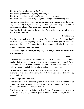The fear of being mistreated in the future The fear of giving your everything and losing it all The fear of experiencing what you've seen happen to others The fear of investing your everything into marriage and then losing it all.

Fear is the opposite of faith. Fear influences many women to do the things they do. Humbly analyse your thoughts. See if you are doing what you are doing because of fear. Remember that fear is a demon.

# **For God hath not given us the spirit of fear; but of power, and of love, and of a sound mind.**

# **2 Timothy 1:7**

Fear is not a good reason for marriage. Fear is a demon. A demon should never make you do anything. Fear should never make you criticize and accuse your husband. Do things for the right reasons and God will bless you.

## **6. The temptation to be emotional**

… **whose daughters ye are, as long as ye do well, and are not afraid with any amazement.**

### **1 Peter 3:6**

"Amazement", speaks of the emotional nature of women. The Scripture teaches that women will do well if they are not amazed (emotional). When the emotions of a woman dominate her, she loses her focus. Emotions can make a woman forget all the Scriptures and principles she knows.

Do not allow emotions of sorrow, fear, jealousy, hatred, and insecurity to overwhelm you. Remember, you will do well when you are not dominated by your emotions.

# **7. The temptation to be proud**

Because women have suffered greatly from discrimination, they tend to be reactionary. Many women display the pride of a "no-nonsense" person. "I will not take this from any man," they say.

"I will not allow a man to disturb my life. You can't keep me in a cage! Why must I do what you say? I am as good as any man; I can do the job any man can do."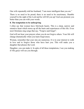One wife repeatedly told her husband, "I am more intelligent than you are."

There is no need to be proud; there is no need to be reactionary. Humble yourself in the sight of the Lord and he will lift you up! God can promote you better than you can with your words.

# **8. The temptation to be unforgiving**

I often say that women have fish-hook hearts. This is a deep, narrow and retentive heart which stores up all the hurts and experiences of this life. Even non-Christians sing songs that say, "Forgive and forget".

God will not hear your prayers when you do not forgive others. Your life will change dramatically when you learn forgiveness.

Woman, remember that your sins are numerous. It is in your interest to walk in love and to forgive those who have hurt you. This will make you a daughter that pleases the Lord.

Daughter, you can make it. In spite of all these temptations, I see you making it! His grace will see you through.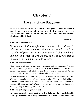# **The Sins of the Daughters**

<span id="page-23-0"></span>**And when the woman saw that the tree was good for food, and that it was pleasant to the eyes, and a tree to be desired to make one wise, she took of the fruit thereof, and did eat, and gave also unto her husband with her; and he did eat.**

**Genesis 3:6**

# **1. The sin of disobedience**

*Many women fall into ugly sins. These are often difficult to talk about or even mention. Woman, you are loosed from the effect of your past mistakes! When you look around you, you may think that you are the only one. The devil's plan is to isolate you and make you depressed.*

# **2. The sin of covetousness**

Many women fall prey to the sins of jealousy and covetousness. Woman, accept the blessings that God has given to your neighbour. Do not fight it because you cannot win! Gladly attend the wedding of your friend. As you rejoice with her today, people will rejoice with you one day.

Do not be covetous or think that you must have what everybody else has. Women commonly compare lifestyles and clothes. They want their children to attend certain schools because their neighbour's child does. Woman, be content with your position! When you force yourself to possess things that are not yours you will only turn into a "Jezebel".

# **3. The sin of being unequally yoked**

**Be ye not unequally yoked together with unbelievers: for what fellowship hath righteousness with unrighteousness? and what communion hath**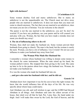## **light with darkness?**

# **2 Corinthians 6:14**

Some women disobey God and marry unbelievers. But to marry an unbeliever is not the unpardonable sin. The Church must not drive away people who are married to unbelievers. It does not mean that you must not come to church anymore. The fact that you are married to an unbeliever, does not mean you are not a Christian. You are welcome in the church!

The pastor is not the one married to the unbeliever, you are! So don't be worried. If you have any problems, see your pastor and he will counsel you and pray with you. Woman, the fact that you have made a mistake does not mean you should stay away!

# **4. The sin of influencing others to do evil**

Woman, thou shall not make thy husband sin. Some women prevent their husbands from going to church. The man is the head, but the woman is surely the neck. Woman, you have a lot of influence. Use it wisely! Do not use your influence to make your husband stay away from God.

# **The Woman Who Made Her Husband Sin**

I remember a woman whose husband was willing to donate some money to the church for some instruments. When the man raised up his hand, the woman pulled it down. She stopped him from giving to the Lord. She came up later to lie to the pastors about how stingy the husband was. Woman, do not make your husband sin.

Eve was the woman who made her husband fall into sin.

# **…and gave also unto her husband with her; and he did eat.**

### **Genesis 3:6**

Abraham knew how important it was for his son to have the right woman. He knew that she would influence him all the days of his life. He was very specific about whom Isaac could marry.

And Abraham was old, and well stricken in age: and the LORD had blessed Abraham in all things. And Abraham said unto his eldest servant of his house, that ruled over all that he had, Put, I pray thee, thy hand under my thigh: And I will make thee swear by the Lord, the God of heaven, and the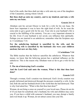God of the earth, that thou shalt not take a wife unto my son of the daughters of the Canaanites, among whom I dwell:

### **But thou shalt go unto my country, and to my kindred, and take a wife unto my son Isaac.**

### **Genesis 24:1-4**

Abraham sent his servant Eliezer to look for a wife for his son Isaac. He knew how important it was to have the right kind of wife. So he went the extra mile to get a good wife for his son. Your role in your husband's life is crucial to the fulfilling of his ministry. You are a very important element in his life. Even if your husband is not saved, you influence him spiritually. Perhaps you are married to an unbeliever; remember what the Scripture says in 1 Corinthians 7:14.

## **For the unbelieving husband is sanctified by the wife, and the unbelieving wife is sanctified by the husband: else were your children unclean; but now are they holy.**

# **1 Corinthians 7:14**

The Bible teaches that the believer sanctifies the unbeliever. Whatever that means, we know that the believing person has a spiritual influence on the unbeliever. This is the reason why Abraham went so far to get a wife for his son.

# **5. The sin of destroying God's creation**

## **And the Lord God said unto the woman, What is this that thou hast done?**

# **Genesis 3:13**

Through a woman, God's creation was destroyed. God's lovely creation was greatly deformed and destroyed through the pressure created by a wife. In the end, both she and her husband dwelt in the world that she had destroyed. That is why God asked her, "What is this that thou hast done?"

Woman, do not bring a curse on yourself or your loved ones. Please do not do it! If you hunt for somebody else's husband, his wife and children may curse you. If you have a child with someone's husband, you may disrupt a family and even break it up. Woman, do not attract curses into your life.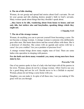# **6. The sin of idle chatting**

Woman, do not gossip and spread bad stories about God's servants. Do not let your gossip and idle chatting destroy people's faith in God's servants. Many women speak about things that they shouldn't speak about.

**…they learn to be idle, wandering about from house to house; and not only idle, but tattlers also and busybodies, speaking things which they ought not.**

**1 Timothy 5:13**

#### **7. The sin of the strange woman**

Woman, do anything you can to prevent yourself from becoming a curse. Do not become a strange woman. A strange woman is someone who deliberately goes after men. She hunts them down and has sexual affairs with them. She is a destroyer of churches. She comes with an agenda and carries with her a curse! Are you a stalker? Are you a predator of precious lives?

A strange woman brings down many mighty men of God. There are some ladies who specialize in sleeping with pastors.

### **For she hath cast down many wounded: yea, many strong men have been slain by her.**

#### **Proverbs 7:26**

One of my pastors spoke in fear of a lady who had slept with all the pastors in his town. Woman, please do not be a strange woman. Allow God to use you for a good thing and not for evil. Decide never to be a Delilah to anyone! Woman, please do not bring a curse home with you.

Daughter, you can make it. In spite of all these sins, I see you making it! His grace will see you through.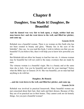# **Daughter, You Made It! Daughter, Be Beautiful**

<span id="page-27-0"></span>**And the damsel was very fair to look upon, a virgin, neither had any man known her: and she went down to the well, and filled her pitcher, and came up.**

#### **Genesis 24:16**

Rebekah was a beautiful woman. There is no woman on this Earth who has not been created in beauty and glory. "Beauty lies in the eyes of the beholder", they say. As you read this book, I wish to inform you that you are beautiful! If you believe this, then it will help you to know how powerful you are.

But Rebekah did not allow her beauty to lead her into sin. A virtuous woman may be beautiful but will not yield to the many overtures that are made by men.

The virtuous woman is a beautiful virgin. She is a beauty and at the same time she is holy. Can you be beautiful and wait for your marriage? Notice what the Bible says in Genesis 24:16. She was beautiful, yet no man had had anything to do with her.

#### **Daughter, Be Homely**

#### **…and she went down to the well, and filled her pitcher, and came up.**

#### **Genesis 24:16**

Rebekah was involved in practical housework. Many beautiful women are just concerned about their hair, their nails and their dresses. Because of this, they are of no practical use in their homes. They cannot cook nor do homely things. Are you just a beautiful woman?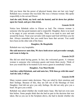Did you know that the power of physical beauty does not last very long? Rebekah was a woman who was kind. She was a virtuous woman. She spoke respectfully to the servant Eliezer.

## **And she said, Drink, my lord: and she hasted, and let down her pitcher upon her hand, and gave him drink.**

# **Genesis 24:18**

Notice how Rebekah refers to Eliezer as lord. The virtuous woman is someone who has good manners and is respectful. Daughter, there is no need to be angry at your servants everyday. There is no need to rave and rant around the house. Treat your servants with respect and God will bless you for that. Always remember that you could have been that servant. You could have been on the other side of the fence.

### **Daughter, Be Hospitable**

Rebekah was very hospitable.

**She said moreover unto him, We have both straw and provender enough, and room to lodge in.**

### **Genesis 24:25**

She did not mind having guests. In fact, she welcomed guests. A virtuous woman is someone who welcomes guests and treats them nicely. Think of how you would like to be treated if you were a guest in somebody's home.

### **Daughter, You Must Decide**

### **And they called Rebekah, and said unto her, Wilt thou go with this man? And she said, I will go.**

#### **Genesis 24:58**

Many women cannot make decisions. They are ruled by their emotions and their feelings. Because of this, they are left out of the blessings of God. Daughter, God did not give you only feelings. He did not only give you a heart. He gave you a mind.

Rebekah was asked whether she would marry Isaac. She had not even seen him before. Some people think that she had no part in the decision that was taken. But as you see in the Scripture above, she had to decide whether she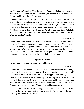would go or not! She based her decision on facts and wisdom. She married a good man and God blessed her. Sometimes you must allow your mind to lead the way and let your heart follow later.

Daughter, there are not always many suitors available. When God brings a blessing to you, do not discard it with flimsy reasons. It may be your one and only chance to be married. Seek good counsel. Use your mind and be a woman with direction. Daughter, make a decision and God will bless you.

**And Isaac brought her into his mother Sarah's tent, and took Rebekah, and she became his wife; and he loved her: and Isaac was comforted after his mother's death.**

# **Genesis 24:67**

When Rebekah eventually met with her husband, the Bible says she became his wife. She rose to the occasion and became a happy wife. She became a famous woman and a queen because she was a wise decision-maker. There are two types of women in this world: women who make wise decisions and women who make emotional decisions. When you are a woman who makes wise decisions you will become the envy of all other women.

# **Daughter, Be Modest**

# **…therefore she took a vail, and covered herself.**

### **Genesis 24:65**

When Rebekah met up with her future husband, she covered herself decently. She knew that she was not yet married. It was not yet time to expose herself. A virtuous woman covers herself decently with appropriate clothing.

Woman, cover yourself when necessary. Do not expose what must not be exposed. Perhaps you think you are being fashionable by exposing your body. Much of the fashion of this world is designed by the devil himself. It is designed to promote a culture of immorality and licentiousness.

If you follow what the world is doing, you will often end up in sin. Please read the following verse and see for yourself. The prince of the air is directing the course of the world.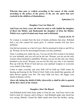**Wherein time past ye walked according to the course of this world, according to the prince of the power of the air, the spirit that now worketh in the children of disobedience:**

**Ephesians 2:2**

## **Daughter You Can Make It!**

**And Esau was forty years old when he took to wife Judith the daughter of Beeri the Hittite, and Bashemath the daughter of Elon the Hittite: Which were a grief of mind unto Isaac and to Rebekah.**

### **Genesis 26:34, 35**

No woman is exempt from the host of family problems that arise. Rebekah had a son who caused her much grief. A virtuous woman will also have problems.

God did not promise us a bed of roses. But he promised to help us and lift us up. Woman, do not be discouraged because you face problems.

There is nothing new under the sun. You are not the first woman to be beaten by your husband, and you will not be the last. Woman, you are not the only woman whose husband is unfaithful. Woman, you are not the only one whose husband is not saved. Woman, you are not the only one who is not married. Rise up with the Word of God and use your spiritual weapons to overcome every attack of the enemy.

Listen to tapes everyday and your faith will be built up. Faith comes by hearing and hearing by the Word of God. Faith is the shield that quenches all darts thrown against your life. The more faith you have, the bigger your shield of defence will be.

**Above all, taking the shield of faith, wherewith ye shall be able to quench all the fiery darts of the wicked.**

**Ephesians 6:16**

# **Daughter, Don't Be Biased**

And Rebekah heard when Isaac spake to Esau his son. And Esau went to the field to hunt for venison, and to bring it. And Rebekah spake unto Jacob her son, saying, Behold, I heard thy father speak unto Esau thy brother, saying,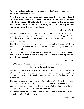Bring me venison, and make me savoury meat, that I may eat, and bless thee before the Lord before my death.

**Now therefore, my son, obey my voice according to that which I command thee. Go now to the flock, and fetch me from thence two good kids of the goats; and I will make them savoury meat for thy father, such as he loveth: And thou shalt bring it to thy father, that he may eat, and that he may bless thee before his death.**

#### **Genesis 27:5-10**

Rebekah obviously had her favourite; she preferred Jacob to Esau. When Isaac wanted to bless his firstborn son, Rebekah was not happy that her favourite was being left out. She manipulated events so that Jacob could have a greater blessing.

The Bible teaches us that it is not wise to be partial or hypocritical. Many parents do not know that children can see through these things. Partiality stirs up much hatred.

**But the wisdom that is from above is first pure, then peaceable, gentle, and easy to be intreated, full of mercy and good fruits, without partiality, and without hypocrisy.**

**James 3:17**

Daughter be wise! Govern your home with fairness and equity.

### **Daughter, Do Not Interfere**

Rebekah interfered with the plan of God Almighty. God has laid down his Words with a special blessing for the firstborn. However, through the interference of Rebekah, God's plan concerning the firstborn did not materialize.

There are women who interfere with the ministry of the Lord Jesus. I want you to know that this only brings a curse upon your life. Rebekah knew that she was inviting a curse upon her life and her son's life. That is why she told her son, "Do not worry, I will receive the curse for you."

**And his mother said unto him, Upon me be thy curse, my son: only obey my voice, and go fetch me them.**

**Genesis 27:13**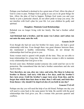Perhaps your husband is destined to be a great man of God. Allow the plan of God to come to pass. Perhaps God is going to use you to do great things for him. Allow the plan of God to happen. Perhaps God wants you and your family to join a particular church, do not allow pride to keep you away. Do not interfere with God's plan for your life. Let your children be godly and spiritual.

# **Daughter, Maintain Good Relationships**

Rebekah was no longer living with her family. She had a brother called Laban.

**And Rebekah had a brother, and his name was Laban: and Laban ran out unto the man, unto the well.**

# **Genesis 24:29**

Even though she had not seen her brother for many years, she kept a good relationship with him. Even though there was great distance between them, she maintained a healthy relationship. Woman, do not disrupt the relationships that God has given to you.

Some women tend to quarrel with people all the time. They are not able to keep relationships for a long time. But a virtuous woman is able to maintain every relationship that God gives to her.

Several years later, Rebekah needed someone she could send her son to for protection. She remembered that she had a brother somewhere and she sent Jacob to him.

**Now therefore, my son, obey my voice; and arise, flee thou to Laban my brother to Haran; And tarry with him a few days, until thy brother's fury turn away; Until thy brother's anger turn away from thee, and he forget that which thou hast done to him: then I will send, and fetch thee from thence: why should I be deprived also of you both in one day?**

# **Genesis 27:43-45**

Perhaps one day you will need the help of an old friend. Perhaps one day you will need to come back to the same pastor for help. Be careful with the good relationships that God gives you. Be a woman who prevents quarrels and conflicts.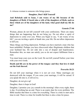A virtuous woman is someone who brings peace.

# **Daughter, Don't Kill Yourself**

**And Rebekah said to Isaac, I am weary of my life because of the daughters of Heth: if Jacob take a wife of the daughters of Heth, such as these which are of the daughters of the land, what good shall my life do me?**

### **Genesis 27:46**

Woman, please do not kill yourself with your confessions. There are many things that are happening that do not bring joy. Do not allow a spirit of depression to come over you. When you begin to say, "I am weary of my life", you are inviting a spirit of death into your life. Do not allow depression to kill you.

Many things can bring depression. Perhaps you have married a man who has been unfaithful. Perhaps you have discovered other illegitimate children that your husband has. Do not sink into a sea of despair and hopelessness. Remember this, no man can satisfy you so do not expect fulfilment from a man.

You must keep your eyes on the Lord. Do not kill yourself before your time with your own words.

### **Death and life are in the power of the tongue: and they that love it shall eat the fruit thereof.**

### **Proverbs 18:21**

Do not kill your marriage when it is not yet over. Many marriages are destroyed with the tongue. If you curse your marriage, it will be cursed. If you speak life into it, it will revive.

Daughter, do not give up!

Daughter, there is hope in God!

Daughter, I promise you: joy cometh in the morning! After every night, there is day. Everything has an end. There is an expiry date for every problem. The Bible teaches that there is a time for everything. There is a time to start and a time to end. There is a time for trouble but there is also a time for peace.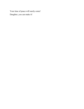Your time of peace will surely come! Daughter, you can make it!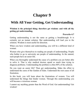# **With All Your Getting, Get Understanding**

<span id="page-35-0"></span>**Wisdom is the principal thing; therefore get wisdom: and with all thy getting get understanding.**

#### **Proverbs 4:7**

Getting understanding is not the same as getting a breakthrough. It is certainly not an instant solution. But understanding will lead you to the solution. Wisdom is most useful for direction.

When you have wisdom and understanding, you will be a different kind of woman.

Women who give themselves to reading are people of understanding. People who bother to go to university are people of understanding. In the natural, such people have an easier life.

When you thoroughly understand the cause of a problem you are better able to solve it. That is why medical doctors spend so much time trying to diagnose problems. Understanding the problem is often 80% of the solution.

Do you want an easier life? Then get understanding. Make the effort to understand the curse of the Garden of Eden. Understand the root cause of all frustration.

In this book, you will learn about the frustrations of women. You will understand the things that hinder women. Through this understanding you will become a victorious woman.

I cannot say anything greater than the Word of God. Get understanding! Get wisdom!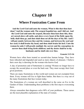# **Where Frustration Came From**

**And the Lord God said unto the woman, What is this that thou hast done? And the woman said, The serpent beguiled me, and I did eat. And the Lord God said unto the serpent, Because thou hast done this, thou art cursed above all cattle, and above every beast of the field; upon thy belly shalt thou go, and dust shalt thou eat all the days of thy life: And I will put enmity between thee and the woman, and between thy seed and her seed; it shall bruise thy head, and thou shalt bruise his heel. Unto the woman he said, I will greatly multiply thy sorrow and thy conception; in sorrow thou shalt bring forth children; and thy desire shall be to thy husband, and he shall rule over thee.**

#### **Genesis 3:13-16**

Women have often been treated as second-class human beings. They have been ridiculed and degraded and used as mere objects of pleasure. I believe that a new day is dawning for the woman who knows God.

A day of promotion and of betterment is coming! Women no longer have to occupy the second place or even the back seat. They must occupy their Godgiven positions.

There are many frustrations in this world and women are not exempted from them. Every woman will live to fight these battles. But there is a way out of the many frustrations that face women today.

The frustrations of a woman are well described in the curse on Eve in the Garden of Eden. Understanding these problems is the first step to overcoming them.

Always remember that diagnoses solve 80% of your problems. These curses are the most plausible explanation of the state of women.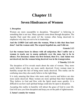# **Seven Hindrances of Women**

#### **1. Deception**

Women are more susceptible to deception. "Deception" is believing in something that is not true. Many quarrels come about through deception. The Apostle Paul used this point (of the woman often being deceived) to emphasize why they are not to be in leadership.

**And the LORD God said unto the woman, What is this that thou hast done? And the woman said, The serpent beguiled me, and I did eat.**

**Genesis 3:13**

**Let the woman learn in silence with all subjection. But I suffer not a woman to teach, nor to usurp authority over the man, but to be in silence. For (because) Adam was first formed, then Eve. And Adam was not deceived, but the woman being deceived was in the transgression.**

## **1 Timothy 2:11-14**

The deception of Eve reveals much about the state of women. They more easily believe and they are more easily deceived. Every woman must in humility accept this fact of being more easily deceived. This reality can be confusing since they also easily believe in the right thing.

It is truly amazing that those who more easily receive and believe are also more easily deceived. Many women are more spiritual than their husbands. They believe in God and flow with the Spirit much more quickly. It is difficult to see how such spiritual beings could also be open to deception.

Accepting this reality in humility will attract the grace of God to your life. God will save you from deception and keep you on the path of righteousness.

#### **2. Satan's enmity for women**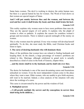Satan hates women. The devil is working to destroy the entire human race, but there is a special hatred he has for women. The Word of God shows us that women are special targets of Satan.

# **And I will put enmity between thee and the woman, and between thy seed and her seed; it shall bruise thy head, and thou shalt bruise his heel.**

# **Genesis 3:15**

This reality explains why women seem to have more problems than men do. They are the special targets of evil spirits. It explains why the plight of women is often so pathetic. It explains the reason for countless women's groups and movements. There is indeed a special onslaught of the enemy on women.

This is why women must be spiritual. Every wise woman will develop herself spiritually. To do this, she must study the Bible, read Christian books and listen to tapes.

# **3. The curse of desiring husbands who will dominate them**

Many of the problems that women have are related to finding husbands and keeping them. In the church, a large percentage of women's problems are related to this. Marriage, although celebrated in grand style is actually described as a kind of curse in the book of Genesis, chapter three.

## **…and thy desire shall be to thy husband, and he shall rule over thee.**

## **Genesis 3:16**

The desire for husbands is one of the most devastating curses and frustrations unleashed on women. Even the most independent women come to the place where they want a man. Older women, who are unable to give birth anymore, still want to be married. Indeed, a close analysis of the situation will only show the workings of a curse.

This curse is circumvented by the power and the wisdom of God.

## **4. Multiplied sorrow**

**…I will greatly multiply thy sorrow and thy conception; in sorrow thou shalt bring forth children…**

**Genesis 3:16**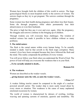Women have brought forth the children of this world in sorrow. The huge gynecological blocks in most hospitals testify to the sorrows of women. The sorrows begin as they try to get pregnant. The sorrows continue through the pregnancy.

Some women lose their health during pregnancy and others lose their beauty. Some die through pregnancy while others permanently lose their attractiveness or even their husbands.

The price is high but they pay it over and over, again. After the pregnancy, the struggles and sorrows continue in the bringing up of children.

Through wisdom you will overcome these challenges. The wisdom of medical science has made it possible to have children without so many problems.

# **5. The sinful nature**

The flesh is the carnal nature within every human being. To be carnally minded is death. And he that soweth to the flesh reaps corruption. Many women's lives have been corrupted because they have followed the flesh and the mind. This reality compounds the problems of every woman.

You will never follow your flesh when you understand the Word of God. The power of God will help you overcome the weakness that is in your flesh.

## **...To be carnally minded is death...**

#### **Romans 8:6**

#### **6. The weakness**

Women are described as the weaker vessels.

## **…giving honour unto the wife, as unto the weaker vessel...**

## **1 Peter 3:7**

A weaker fishing trawler cannot be compared to the might of a nuclearpowered aircraft carrier. The weaker ship is more easily tossed about by every storm or situation. This weakness is the cause of many unplanned emotional excursions by women.

The world of women is characterised by detours of swirling, twirling, weaving and spinning currents of emotions, quarrels and instability. The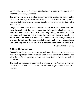varied mood swings and temperamental nature of women usually makes them unsuitable for steady leadership.

This is why the Bible is so clear about who is the head in the family and in the church. The Apostle Paul was stronger on this issue than on any other. Paul asserted that if anyone was spiritual, he would acknowledge this reality about women.

**Let your women keep silence in the churches: for it is not permitted unto them to speak; but they are commanded to be under obedience, as also saith the law. And if they will learn any thing, let them ask their husbands at home: for it is a shame for women to speak in the church. What? came the word of God out from you? or came it unto you only? If any man think himself to be a prophet, or spiritual, let him acknowledge that the things that I write unto you are the commandments of the Lord.**

#### **1 Corinthians 14:34-37**

#### **7. The unkindness of men**

Generally speaking, men are stronger and more domineering than women. Most men operating from a heart of flesh do not treat women kindly. The wickedness of men operating with the nature of Satan is like the last nail on the coffin.

The need for women's groups which champion women's rights is obvious. Ultimately, it is the Lord who will be the lifter of your head if you are a woman.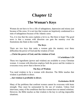# **The Woman's Keys**

Women do not have to live a life of unhappiness, depression and misery just because of the curse. It is not true that women are hopelessly condemned to a state of unhappiness because of the Adamic curse.

Yes, it is true that the curse explains a lot to us. But there is hope! The good news is that a woman with direction can gain the mastery over the frustrations she finds in this world.

#### **The Keys**

There are two keys that make a woman gain the mastery over these difficulties the power of God and the wisdom of God.

#### **…Christ the power of God, and the wisdom of God.**

#### **1 Corinthians 1:24**

These two ingredients (power and wisdom) are available to every Christian woman. A woman with direction employs both the power and the wisdom to overcome every arrow that is thrown at her.

#### **The Key of Wisdom**

You need wisdom to be a woman with direction. The Bible teaches that wisdom is profitable to direct.

#### **…but wisdom is profitable to direct.**

#### **Ecclesiastes 10:10**

Many of the problems that confront women cannot be overcome with brute strength. They must be surmounted by the use of wisdom. Unless God intervenes, many of the conditions that face women have no natural solutions. However, the Bible teaches us that wisdom is the key to solving impossible situations.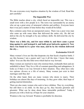We can overcome every hopeless situation by the wisdom of God. Read this part carefully!

## **The Impossible War**

The Bible teaches about a city, which faced an impossible war. This was a small town with a few people in it. The town was surrounded by an enemy who set up a great array of armoured vehicles and artillery. Everyone knew that it was just a matter of time before they would all be killed.

But a solution came from an unexpected source. There was a poor wise man who came up with some ideas that delivered the entire city. He did not deliver the city by strength or by any military skills. He delivered the city by wisdom.

**There was a little city, and few men within it; and there came a great king against it, and besieged it, and built great bulwarks against it: Now there was found in it a poor wise man, and he by his wisdom delivered the city…**

#### **Ecclesiastics 9:14-15**

Many women's lives are like that desperate city that faced a hopeless battle. I say this because I am a pastor and I see it all the time. I know that many ladies' lives are like this little town which had no way forward.

Many women are married to men who mistreat them, mishandle them and are unfaithful to them! They live a life of constant quarrelling and unhappiness. It looks as if there is no way forward in their situation. They often have only two options: divorce or a life of misery. Many women just exist in their marriages until they die!

On the other hand, there are many women who desire to marry. Their birthdays are almost like days of mourning. As they grow older, their hope of getting married diminishes.

There are also many women who seek to have children. They try everything, but still there is no child. As the days go by, they become gloomier and gloomier. What can be done about these intractable problems? Today I present you with a fresh ray of hope for your situation.

Wisdom is the way forward. Wisdom is profitable for direction.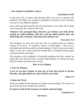#### **…but wisdom is profitable to direct.**

# **Ecclesiastics 10:10**

I want you to be a woman with direction. How can you be a woman with direction? The Bible says wisdom is profitable for direction. God will direct you out of every difficult situation.

Just as that man delivered the city from destruction, your entire life is going to be rescued by the wisdom of the Lord.

## **Wisdom is the principal thing; therefore get wisdom: and with all thy getting get understanding. Exalt her, and she shall promote thee: she shall bring thee to honour, when thou dost embrace her.**

## **Proverbs 4:7, 8**

The Scripture we have just read says that we should exalt and embrace wisdom in our lives. 'To embrace', means 'to hold tightly'. I want you to hold tight onto this book until you finish reading it. Then I want you to read it again. I want you to read it until the wisdom that is contained in these pages is transferred into your heart.

The solutions to the multitude of intractable problems that face women are dealt with in the Word of God. A woman with direction is a woman who gets hold of wisdom and doesn't put it down.

#### **How to Get Wisdom**

#### **1. Pray for Wisdom.**

**If any of you lack wisdom, let him ask of God, that giveth to all men liberally, and upbraideth not; and it shall be given him.**

#### **James 1:5**

## **2. Study the Word.**

In him are hidden all the treasures of wisdom and knowledge. The closer you get to God, the more wisdom you will have.

#### **In whom are hid all the treasures of wisdom and knowledge.**

**Colossians 2:3**

#### **The Power**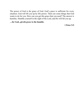The power of God is the grace of God. God's grace is sufficient for every situation. God will lift you up by His power. There are some things that God wants to do for you. How can you get this grace that you need? The answer is humility. Humble yourself in the sight of the Lord, and He will lift you up.

#### **…for God...giveth grace to the humble.**

**1 Peter 5:5**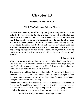#### **Daughter, While You Wait**

#### **While You Wait, Keep Going to Church**

**And this man went up out of his city yearly to worship and to sacrifice unto the Lord of hosts in Shiloh. And the two sons of Eli, Hophni and Phinehas, the priests of the Lord, were there. And when the time was that Elkanah offered, he gave to Peninnah his wife, and to all her sons and her daughters, portions: But unto Hannah he gave a worthy portion; for he loved Hannah: but the Lord had shut up her womb. And her adversary also provoked her sore, for to make her fret, because the Lord had shut up her womb. And as he did so year by year, when she went up to the house of the Lord, so she provoked her; therefore she wept, and did not eat.**

#### **1 Samuel 1:3-7**

What does one do while waiting for a miracle? What should you do while you wait for God's answer? Hannah was the woman who kept going to church (Shiloh) in spite of her problems. Hannah is the one from whom we learn what to do while we wait for our miracle!

There are many problems that women face today. A woman with direction is someone who cannot be turned away from her church in spite of her problems. Dear woman, your help comes from God. The devil would like to keep you from the source of your help.

Hannah was suffering from barrenness, and could have stayed at home in her depression. She could have worked all day and night. She could have resorted to witchcraft and all sorts of things to help her. But she kept going to Shiloh. Shiloh is the place where prayers and sacrifices are made to the Lord.

#### **While You Wait, Notice God's Blessings around You**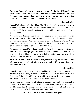**But unto Hannah he gave a worthy portion; for he loved Hannah: but the Lord had shut up her womb. Then said Elkanah her husband to her, Hannah, why weepest thou? and why eatest thou not? and why is thy heart grieved? am not I better to thee than ten sons?**

## **1 Samuel 1:5, 8**

Hannah's husband really loved her. The Bible tells us how he gave a worthy portion to her and describes his deep love for her. But Hannah did not notice her husband's love. Hannah wept and wept and did not notice that she had a good husband.

A woman with direction must learn to see beyond her problem. Some women are so taken up with the problems that they cannot see the goodness of God around them. Perhaps there is one fault with your husband. Do not be so taken up with that fault that you don't see how God has blessed you. The grass always seems to be greener on the other side.

At one point, Hannah's husband asked her, "Am I not worth more than ten sons to you?" Perhaps your difficulties have blinded your eyes to the blessings of God. Please do not allow a dark cloud to brood over everything because of the one problem that you have.

## **Then said Elkanah her husband to her, Hannah, why weepest thou? and why eatest thou not? and why is thy heart grieved? am not I better to thee than ten sons?**

# **1 Samuel 1:8**

Hannah could not see that she had a good husband. She could not notice that her husband was very generous and kind. Hannah did not think of the fact that even if she had children they would grow up and leave the home one day. Then she would be all alone with her husband again.

Perhaps you are looking for a husband or perhaps you want your husband to be saved. A woman with direction does not allow her problem to overshadow the blessings that she already has. Daughter, while you wait, notice God's blessings! Be thankful for what you have, more is on the way.

# **While You Wait, Use Your Spiritual Weapons**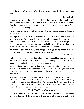# **And she was in bitterness of soul, and prayed unto the Lord, and wept sore.**

# **1 Samuel 1:10**

In this verse, you see how Hannah lifted up her eyes to the Lord and prayed with strong cries and tears (Hebrews 5:7). She was a prayer warrior. Daughter, your weapons are not carnal, they are mighty through God. Perhaps you need a baby.

Perhaps you need a husband. Do not resort to physical or human methods to get what you need.

Many problems have spiritual roots and a daughter of destiny knows this! If you are seeking for a baby, it is good to find the appropriate medical care. But a woman with direction knows that prayer is the solution. Keep praying, there is power in prayer. As you study the Bible, you will realize that many people received blessings and breakthroughs through prayer.

# **Therefore I say unto you, What things soever ye desire, when ye pray, believe that ye receive them, and ye shall have them.**

# **Mark 11:24**

Before Hannah could do anything about it, her husband had married someone else in order to have children. This is a very common practice in Africa, since some see the state of not having a child as a curse.

Many husbands are pressurized into finding someone who can have a baby with them. Perhaps, being a second wife is not easy. Even being the only wife is a great challenge. Before Hannah could do anything about it, she was in a bad situation.

Woman, I want you to know that God sees everything you are going through. He is on your side. He will deliver you. He will keep you. I see you being raised out of that impossible situation! As you read this book, a new light is beginning to shine in your life. The days of reproach and humiliation are over. I declare it to be so, in the name of Jesus!

# **While You Wait, Make a Vow!**

**And she vowed a vow, and said, O Lord of hosts, if thou wilt indeed look on the affliction of thine handmaid, and remember me, and not forget**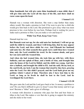**thine handmaid, but wilt give unto thine handmaid a man child, then I will give him unto the Lord all the days of his life, and there shall no razor come upon his head.**

## **1 Samuel 1:11**

Hannah was a woman with direction. She went a step further than many others would. She made a promise to God. If he were to give her a child she would give him back to the Lord. She promised to give away what was most precious to her, even before he was born. Perhaps God is waiting for you to make such a promise to Him. Can you make a vow and keep it?

# **While You Wait, Keep Your Vows**

Hannah kept her vow.

**But Hannah went not up; for she said unto her husband, I will not go up until the child be weaned, and then I will bring him, that he may appear before the Lord, and there abide for ever. And Elkanah her husband said unto her, Do what seemeth thee good; tarry until thou have weaned him; only the Lord establish his word. So the woman abode, and gave her son suck until she weaned him.**

**And when she had weaned him, she took him up with her, with three bullocks, and one ephah of flour, and a bottle of wine, and brought him unto the house of the Lord in Shiloh: and the child was young. And they slew a bullock, and brought the child to Eli. And she said, Oh my lord, as thy soul liveth, my lord, I am the woman that stood by thee here, praying unto the Lord. For this child I prayed; and the Lord hath given me my petition which I asked of him: Therefore also I have lent him to the Lord; as long as he liveth he shall be lent to the Lord. And he worshipped the Lord there.**

# **1 Samuel 1:22-28**

She gave unto the Lord and the Lord gave back to her. Is money a problem to you? Do you find it difficult to give to Jesus? Loose that money and let it go now! Become a "tither" and a giver of offerings.

A woman with direction is someone who pays her first and best fruits or tithes to the Lord. She makes a vow that she is going to support the ministry and she sticks to her word.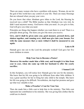There are many women who have a problem with money. Woman, do not let the god of this world have any control of your life. There are many blessings that are released when you pay your vows.

Do you know that when Abraham gave tithes to the Lord, the blessing he received was a child? The Bible teaches us that Abraham was very rich, he didn't need anymore money. God knows what you need. As you give to him, God will give you what you need.

Principles are things that happen whether you want them to or not! There is a principle about giving. The more you give the more you receive.

**Give, and it shall be given unto you; good measure, pressed down, and shaken together, and running over, shall men give into your bosom. For with the same measure that ye mete withal it shall be measured to you again.**

**Luke 6:38**

Hannah gave one son to the Lord the principle worked! God gave her five more children in return.

## **Help Your Son to Become a Pastor!**

**Moreover his mother made him a little coat, and brought it to him from year to year, when she came up with her husband to offer the yearly sacrifice.**

## **1 Samuel 2:19**

In this Scripture, you will notice how Hannah gave her son for the ministry. She knew that his life was going to be different from other little children. It was a great sacrifice for her to bring her only child to the temple. She knew his life was going to be difficult. Nevertheless, she kept her promise and gave up what was valuable to her.

## **Make a Preacher's Coat for Your Son**

Then she made him a little coat to help him in the ministry. That little coat represents her contribution to his ministry. She was giving him clothes that he could use in church.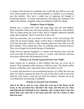A woman with direction is somebody who would like her child to serve the Lord. Some people do not want their husbands or children to go anywhere near the ministry. They have a subtle way of opposing the thought of becoming ministers. A woman with direction will release her husband or her child to the ministry. Daughter, help your husband to fulfil his calling.

# **Daughter, Keep on Singing**

Hannah was a woman who wrote and sang songs after she had children. Many Christians today leave the music ministry after they have had children. They no longer praise the Lord as they used to. Hannah composed beautiful songs. She composed "There is none holy as the Lord."

After her promotion, she was found in the house of the Lord praying. She could still be found singing. Many women desire a breakthrough from the Lord, but when they receive it, they complain about how busy they are with their children. They explain how they are suffering from morning sickness. They can no longer be in church because of backaches.

Thank God for spiritual daughters! A woman with direction stays with the Lord even after the blessing has come. A woman with direction becomes even more zealous after the promotion of God.

# **Woman, Can You Be Separated from Your Child?**

Some women are so attached to their children that they are of no use to anyone! Their husbands suffer because a child has come. The church suffers because a child has come. Sometimes their work suffers as well.

A woman with direction is not overwhelmed because of a child. She does not allow her child to separate her from the will of God. She is able to leave her child for a few hours so that she can fulfil her ministry. Woman, do not be overwhelmed by the blessing of childbirth.

## **Woman, Go beyond Your Emotions**

**And as he did so year by year, when she went up to the house of the Lord, so she provoked her; therefore she wept, and did not eat. Then said Elkanah her husband to her, Hannah, why weepest thou? and why eatest thou not? and why is thy heart grieved? am not I better to thee than ten sons?**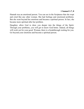#### **1 Samuel 1:7, 8**

Hannah was an emotional person. You can see in the Scriptures that she wept and cried like any other woman. She had feelings and emotional problems. But she went beyond her emotions and became a spiritual person. In fact, she became more spiritual after her problem.

Daughter, allow God to draw you deeper into the things of the Spirit. Through your problems, you will get to know God better. Indeed, all things will work out for your good. Woman, there is a breakthrough waiting for you. Go beyond your emotions and become a spiritual person.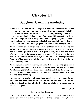# **Daughter, Catch the Anointing**

**And when Jesus was passed over again by ship unto the other side, much people gathered unto him: and he was nigh unto the sea. And, behold, there cometh one of the rulers of the synagogue, Jairus by name; and when he saw him, he fell at his feet, And besought him greatly, saying, My little daughter lieth at the point of death: I pray thee, come and lay thy hands on her, that she may be healed; and she shall live. And Jesus went with him; and much people followed him, and thronged him.**

**And a certain woman, which had an issue of blood twelve years, And had suffered many things of many physicians, and had spent all that she had, and was nothing bettered, but rather grew worse, When she had heard of Jesus, came in the press behind, and touched his garment. For she said, If I may touch but his clothes, I shall be whole. And straightway the fountain of her blood was dried up; and she felt in her body that she was healed of that plague.**

**And Jesus, immediately knowing in himself that virtue had gone out of him, turned him about in the press, and said, Who touched my clothes? And his disciples said unto him, Thou seest the multitude thronging thee, and sayest thou, Who touched me? And he looked round about to see her that had done this thing.**

**But the woman fearing and trembling, knowing what was done in her, came and fell down before him, and told him all the truth. And he said unto her, Daughter, thy faith hath made thee whole; go in peace, and be whole of thy plague.**

**Mark 5:30-31**

#### **Daughters Are Receptive**

I am a firm believer in the ability of women to catch the anointing. Many people brand women as being emotional. With the passage of years, I think I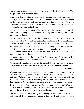can say that women are more receptive to the Holy Spirit than men. This receptivity is often misunderstood.

Dear sister, the anointing is yours for the taking. You must reach out with your spirit and take what God has for you. Do not be intimidated any longer by the brothers who are stiff and unyielding to the Holy Spirit. There is a difference between a man and a woman. I have noticed that difference when it comes to the things of the Lord.

If you look closely at the story of the woman with the issue of blood, you will learn certain things about women catching the anointing. Jesus was surrounded by his disciples.

On that day in particular, the anointing was flowing at a very high level. A few hours earlier, Jesus had cast out six thousand demons from a mad man in Gadara. He had crossed the river and was on his way to raise the dead.

The twelve disciples were very close to the anointing but did not have what it took to connect to the power. A certain smelly, nameless woman (unnamed up till today) came up to Jesus. She had what it took to connect to the anointing that was on Jesus.

As soon as she touched the hem of Jesus' garment, something happened to her. The anointing passed into her. Jesus felt it and she did as well.

## **And Jesus, immediately knowing in himself that virtue had gone out of him, turned him about in the press, and said, Who touched my clothes?**

#### **Mark 5:30**

When Jesus asked his disciples who had tapped into the anointing, they were very surprised. They asked the Lord, "What are you talking about?" They stuttered, "Which power is flowing where?" They were confused and they asked one another, "What is he talking about? I don't feel anything, do you?" They turned on Jesus, defending their insensitivity to the things of the Spirit.

They said to him, "Can't you see that the masses are jostling you? What you felt was not the anointing. You were just feeling the pressure of the crowds surrounding us. It seems that you are becoming emotional." Merzee!\*

But Jesus knew that the anointing was flowing. He also knew that somebody had received it. The nameless woman in the crowd had already begun to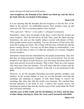rejoice because she had received the power.

## **And straightway the fountain of her blood was dried up; and she felt in her body that she was healed of that plague.**

#### **Mark 5:29**

Is it not amazing that the disciples did not recognize or feel the flow of the Spirit in the service? An unidentified person from nowhere came up and received it all. This is a common pattern I have noticed.

#### *\*The expression "Merzee" is the author's colloquial exclamation.*

Sometimes, when I pray for people at the altar, I notice that the women are more receptive. They feel the power of God. They sense the Spirit moving. Sometimes, the men are like marble statues covered with plaster of Paris. Some people cannot receive anything. You see, the power of God can be felt. Jesus felt it going out of him. The woman with the issue of blood also felt the power coming into her. You may see all these things as emotionalism. I can assure you that there is more to it than the emotions of a woman. Daughter you are receptive.

Sometimes women become intimidated by the people around them. They feel that they are being hysterical. Daughter, you are not hysterical. You are just receptive to the Spirit of God! However, you will notice that there seem to be more men actively involved in ministry. Why is this? There are a few reasons why more men come into ministry. You will notice that this woman with the issue of blood never became a minister. If she did, it is not mentioned in the Bible.

However, we see the disciples becoming successful apostles, prophets, and teachers. In the second chapter of Acts, we see the disciples receiving the anointing and speaking in tongues. It took them longer to receive the anointing. But when they did, the results were dramatic. We watched them become ministers in the book of Acts. I believe that women receive the anointing far quicker than men do, but the cares of this world choke the Word and it becomes unfruitful.

## **And the cares of this world, and the deceitfulness of riches, and the lusts of other things entering in, choke the word, and it becometh unfruitful.**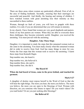There are three areas where women are particularly affected. First of all, in the area of finding husbands. Secondly, ensuring that their marriages are successful and peaceful. And thirdly, the bearing and raising of children. I have watched women with great anointing lose their ministry as they succumbed to these realities.

Woman, through no fault of yours, you will have to grapple with these realities. It is only if you are determined that you will remain in ministry.

In my church, I have found that women are very good shepherds and pastors. Some of my best pastors are women. When they are able to overcome these three challenges, they become extremely useful. Daughter, you received the anointing. You must prevail with the anointing.

# **Daughter, Take These Steps**

Daughter, it is important to study the steps that this unnamed woman took as she came to the anointing. You must study closely what this unnamed woman did in order to receive from God. God has many things in store for you. Notice the four steps that this woman took to receive the anointing. I learnt these steps from Kenneth Hagin.

Step number one, she heard it.

Step number two, she believed it. Step number three, she said it. Step number four, she did it.

## **She Heard It!**

## **When she had heard of Jesus, came in the press behind, and touched his garment.**

## **Mark 5:27**

A daughter of destiny must expose herself to the Word of God so that she will hear the right things. The more you hear, the more you believe. The more you believe, the more you are open to the blessings of God. Woman with direction, are you someone who listens to tapes? Do you watch videos? Do you read books? Or are you just seeking after blessings?

## **She Believed It!**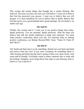This woman did certain things that brought her a certain blessing. She believed. The more you hear, the more you will believe. I want you to believe that God has answered your prayers. I want you to believe that you will prosper. It is more beneficial for you to believe than to doubt. Believe that God has given you a good husband and a good marriage. Do not doubt it, no matter your age.

#### **She Said It!**

Thirdly, this woman said it. I want you to say positive things from today. Speak positively. You are anointed. Speak positively. With the heart you believe and with the mouth confession is made unto salvation. You must make positive confessions about your life. For practical help on making positive confessions, see Bishop Heward-Mills' book, "Name It! Claim It! and Take It."

#### **She Did It!**

The fourth and final step is to do something. Stretch out your heart and hand and receive from the Lord. If you want a husband, do something about it. After hearing and believing that God is going to bless you, dress nicely, look smart and be friendly. Everybody wants to marry someone who is warm and has feelings. Daughter, never forget these four steps to your blessing. Hear it, believe it, say it and do it!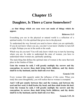# **Daughter, Is There a Curse Somewhere?**

#### …**so that things which are seen were not made of things which do appear.**

#### **Hebrews 11:3**

Everything you see in the physical or natural world is a reflection of a spiritual reality. It is the spiritual that gives rise to the physical.

To understand the way forward you need to know where you are spiritually. If you do not know where you are, you don't even know whether to turn left or right. Perhaps you are in the north or the south.

Which way do you turn? You will only know which way to turn by knowing where you are. In order to understand the state of women, you have to understand where women are, spiritually speaking.

The main thing that defines the spiritual state of women is the curse that took place in the Garden of Eden.

**Unto the woman he said, I will greatly multiply thy sorrow and thy conception; in sorrow thou shalt bring forth children; and thy desire shall be to thy husband, and he shall rule over thee.**

#### **Genesis 3:16**

Every woman falls squarely under the influence of this curse. When you study this curse thoughtfully, you will realize that no woman is exempted.

**And I will put enmity between thee and the woman, and between thy seed and her seed; it shall bruise thy head, and thou shalt bruise his heel. Unto the woman he said, I will greatly multiply thy sorrow and thy conception; in sorrow thou shalt bring forth children; and thy desire shall be to thy husband, and he shall rule over thee.**

**Genesis 3:15, 16**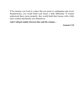If for instance you lived in a place that was prone to earthquakes and severe thunderstorms, you would build your house a little differently. If women understood these curses properly, they would build their houses with a little more wisdom and thereby save themselves.

#### **And I will put enmity between thee and the woman…**

**Genesis 3:15**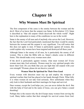# **Why Women Must Be Spiritual**

The first component of the curse is the enmity between the woman and the devil. Most of us know that the serpent was Satan. In Revelation 12:9, Satan is described as "that old serpent which deceiveth the whole world". Right here is the explanation to many of the conditions we see in the world.

Satan is the enemy of all men and of anybody who serves the Lord. However, the fact that the Lord God particularly mentioned that there would be enmity between the woman and the serpent is very significant. You will notice that this does not apply to men. If Satan is particularly against all women, this could explain why women have been targeted and destroyed all these years.

Although Satan is the enemy of all men, he is particularly the enemy of all women. This is what the Bible tells us. Satan's attacks come in different forms. This should make every woman more alert.

If the devil is particularly against women, what must women do? Every woman must take God seriously. Women must be very spiritual people who know their God. Do you think that you can fight that old serpent with your own strength? Woman, please do not deceive yourself.

# **Women Must Be Spiritual for Their Own Good**

Every woman with direction must rise up and employ the weapons of spiritual warfare that God has placed in her hands through Christ. What folly it is when women do not take God seriously. How unfortunate when they only look to their husbands and their marriages for hope and survival.

Dear woman, except the Lord helps you, you can never defeat the devil. But with the help of God and in the name of Jesus, you can give Satan a sound thrashing!

Perhaps this is the reason why the devil keeps many women from serving the Lord. Many ladies realize that their strength for survival comes from God.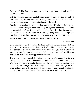Because of this there are many women who are spiritual and gravitate towards the Lord.

Yet, through marriage and related issues many of these women are cut off from effectively serving the Lord. Through one excuse or the other, many women do not amount to much in the house of the Lord.

Daughters, remember that the devil knows that he will win the fight against you once he can keep you down spiritually. Daughters, you are special targets of the devil. I didn't say it! God said it! It is his Word. But there is good news for every woman! Rise up and break through every barrier that keeps you from being the spiritual woman with direction that you were born to be.

#### **And I will put enmity… between thy seed and her seed...**

#### **Genesis 3:15**

Satan has his eye on the woman. He fears and does not understand what the seed of the woman will be and how it will affect him. Whatever that seed is, it is connected to the woman. If you were the devil, you would attack the woman so that that seed which is intended to bruise your head would never come forth. This is what is happening in the world.

There is a concerted attack by Satan on all types of women. That is why women must be spiritual. The attacks are multifaceted and multidimensional. Women almost seem to be at a disadvantage for being born into the body of a female. By the time you finish reading this book you will no longer be at a disadvantage. You will find yourself coming out of every negative situation by the wisdom of God. You will be a spiritual woman with direction!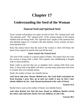# **Understanding the Seed of the Woman**

# **Natural Seed and Spiritual Seed**

Every woman will produce two types of seed or fruit. The "natural seed" and "the spiritual seed". The "natural seed" of the woman speaks of the natural children that she brings forth. The "spiritual seed" speaks of the spiritual fruit and spiritual impact of a woman's life and ministry. Every woman can have some spiritual fruit.

Since the enemy knows that the seed of the woman is what will bruise the head of the serpent, he attacks that seed all the time.

#### **Satan Attacks the Natural Seed**

The seed of the woman is a special target of Satan. The enemy does not want the woman to bring forth a child. This explains why childbearing is fraught with so many problems.

Satan wants to prevent that son or daughter from coming forth from your loins. A close look at the Bible will show you that many great men were born to women who were initially barren.

Sarah, the mother of Isaac was initially barren.

**And Sarai said unto Abram, Behold now, the Lord hath restrained me from bearing: I pray thee, go in unto my maid; it may be that I may obtain children by her. And Abram hearkened to the voice of Sarai.**

**Genesis 16:2**

Rachel who is seen as the mother of Israel, was initially barren.

**And when Rachel saw that she bare Jacob no children, Rachel envied her sister; and said unto Jacob, Give me children, or else I die.**

**Genesis 30:1**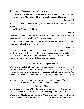The mother of Samson was also initially barren.

#### **And there was a certain man of Zorah, of the family of the Danites, whose name was Manoah; and his wife was barren, and bare not.**

#### **Judges 13:2**

Samuel's mother is another example of someone whose seed was under attack.

#### **…but Hannah had no children.**

# **1 Samuel 1:2**

Elizabeth, the mother of John the Baptist, is a New Testament example of someone whose seed was blocked for many years.

#### **And they had no child, because that Elisabeth was barren, and they both were now well stricken in years.**

## **Luke 1:7**

Woman with direction, somebody great will come out from your womb. That is why the enemy will try to hinder you from marrying or having children. If you believe in this part of the Scripture, then you will understand why demons are particularly interested in harassing women.

## **Satan Also Attacks the Spiritual Seed**

Women are prophetically destined to make a significant spiritual impact. I have observed that the role of spiritual women has increased. More and more women are making a difference in lay ministry and full-time ministry. You cannot rule them out. Their seed is significantly impacting the work of ministry.

Women are preaching, singing, teaching and having visions. This is a role that God has carved out for all who care for spiritual things.

#### **The Three Marys**

When Mary, the sister of Martha, was seated at Jesus' feet listening to his words, he declared that she was doing the one thing needful (Luke 10:42)!

When Mary Magdalene saw the risen Christ even before the apostles, the whole church received an important message. Women are treasured by the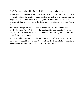Lord! Women are loved by the Lord! Women are special to the Saviour!

When Mary, the mother of Jesus, received her salutation from the angel, she received perhaps the most treasured words ever spoken to a woman. For the angel declared, "Hail, thou that art highly favoured, the Lord is with thee: blessed art thou among women for thou hast found favour with God (Luke 1:28)."

These three Marys left an indelible spiritual mark that has lasted forever. That is why the name "Mary", is one of the most positive and meaningful names to be given to a woman. Their example must be followed by all who desire to bring forth spiritual seed.

A woman with direction must rise up in the realm of the spirit and refuse to be defeated. Daughter, you cannot prevent the devil from hating you. He is against your spiritual seed but it shall surely come forth!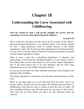# **Understanding the Curse Associated with Childbearing**

**Unto the woman he said, I will greatly multiply thy sorrow and thy conception; in sorrow thou shalt bring forth children…**

#### **Genesis 3:16**

These words you read above are the reason for the creation of the obstetric and gynaecological professions. As a medical doctor, it has always amazed me how a large profession could be created because of the female reproductive organs. We do not have large departments for treating intestines or livers. But we do have massive blocks for treating the diseases associated with the female reproductive organs.

There is such a need for a specialized department of obstetrics and gynaecology. At the Korle-Bu Teaching Hospital in Accra, Ghana, where I was trained, there are four main blocks as well as many smaller departments. One of the main blocks has to do with obstetrics and the other large department has to do with children (paediatric block).

So you can see that there are many problems associated with conception and bringing forth of children.

The female reproductive system has received much attention because of this curse.

When we are born again we are not delivered from this curse. That is an obvious reality. Women who are born again still undergo pain and sorrow in childbearing. Christ did not come to release us from the curse of Adam. All men, including Christian men still earn money by the sweat of their brows. That curse has not been lifted; you and I are still labouring under the sentence.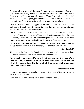Some people teach that Christ has redeemed us from the curse so that when they are in labour they would have no pain or difficulty. Dear sister, do not deceive yourself and do not kill yourself. Through the wisdom of medical science, which is God-given, you can circumvent the effects of the curse. It is not a spiritual fight. It is a battle in which wisdom is a key player.

Dear woman with direction, apply the wisdom that God has made available and you will find yourself sailing through this life and having children without the curse working against you.

Christ has redeemed us from the curse of the law. There are many curses in the Bible. There are the curses of Adam and Eve, the curse of Ham, the curse on Jericho, the curse of the Law and the list goes on. Christ Jesus delivered us from the curse of the Law and not from the curse of Adam and Eve.

## **Christ hath redeemed us from the curse of the law, being made a curse for us: for it is written, Cursed is every one that hangeth on a tree:**

# **Galatians 3:13**

The curse of the Law can be found in Deuteronomy 28 where Moses outlines the curses that come upon those that do not keep the Law.

**But it shall come to pass, if thou wilt not hearken unto the voice of the Lord thy God, to observe to do all his commandments and his statutes which I command thee this day; that all these curses shall come upon thee, and overtake thee:**

## **Deuteronomy 28:15**

Please do not make the mistake of equating the curse of the Law with the curse of Adam and Eve.

I will now share with you the key to overcoming this curse.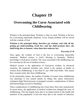# **Overcoming the Curse Associated with Childbearing**

Wisdom is the principal thing. Wisdom is what we need. Wisdom is the key for overcoming impossible situations. Every female problem will be solved with the wisdom of God.

#### **Wisdom is the principal thing; therefore get wisdom: and with all thy getting get understanding. Exalt her, and she shall promote thee: she shall bring thee to honour, when thou dost embrace her.**

#### **Proverbs 4:7-8**

Once again, the wisdom of God is the key to overcoming impossible situations. Medical science is God's blessing to humanity. Medical knowledge is God-given wisdom. The curse associated with childbearing can be overcome by the use of medical science.

Medical science is the application of God-given wisdom. In advanced countries, the maternal mortality rate, which is the number of deaths of women from childbearing, is less than 0.1 per 1000 total births. This means that a woman rarely dies from childbearing.

In the nineteenth century, the number of deaths of women from childbearing was alarming! It was caused mainly by things like sepsis (infections), eclampsia (high blood pressure in pregnant women), complications of labour and haemorrhage (excessive bleeding).

These complications of childbearing have been there from time immemorial. In recent times, the application of medical wisdom has changed the story of childbearing. This has largely been due to an improvement in the health and nutrition of the population. It has also been due to the control of infection,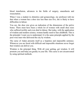blood transfusion, advances in the fields of surgery, anaesthesia and resuscitation.

When I was a student in obstetrics and gynaecology, my professor told me that when a woman has a shoe size less than size five, she is likely to have difficulties in labour.

You see, the shoe size gives an indication of the dimensions of the pelvic bones. There must have been a whole lot of women with small shoe sizes who suffered terribly and even died in labour. But today, with the application of wisdom and modern science, women hardly need to fear childbirth. This is the principle I want you to understand. It is the same principle applied by the poor wise man who delivered the city by wisdom.

The curse of Adam presents itself as a hopeless and impossible sentence. Whenever you are faced with difficult and impossible situations never forget that wisdom can deliver you.

Wisdom is the principal thing. With all your getting, get wisdom. It will promote you and help you greatly in your life. This curse is not circumvented by using spiritual methods.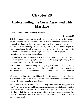# **Understanding the Curse Associated with Marriage**

…**and thy desire shall be to thy husband...**

#### **Genesis 3:16**

This is an unusual curse but we see it everyday. It is not wrong for a man to desire a woman or for a woman to desire a man. However, the desire for a husband has been made into a curse because it was part of the woman's punishment for disobeying. From then on, desiring a man would be part of God's punishment for all women. In other words, the desire of women for husbands has taken on an added negative dimension. Marriage presents many frustrations to women across the globe.

It is an open secret that many married women are not happy. We can all see the troubles that married people go through. In Europe, people simply don't marry any more, they just live together.

We constantly see married couples being prayed for and counselled. Many married women are frustrated and disillusioned with the concept of marriage. There are many women who would be happier without husbands to rule over them.

Many of the nations of this world have fought for independence from foreign rule. Nobody wants to be ruled and dominated by another. "Freedom" is the reason why many wars have been fought.

People feel that they would be happier if they were free from an oppressor's rule. Yet, women do not fight for independence from men but rather fight to come under the domination of a husband! Mercy! There are many women who know that they would be more fulfilled if they remained single. Yet, there is an invisible force that makes them desire husbands. There must be a curse somewhere!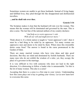Sometimes women are unable to get these husbands. Instead of living happy and fulfilled lives, they plod through life like disappointed and disillusioned travellers.

#### **…and he shall rule over thee.**

## **Genesis 3:16**

The Scripture makes it clear that the husband will rule over the woman. This means that the woman will be dominated and governed by the man. This is also a curse. The last line of the national anthem of my country declares:

> *"And help us to resist oppressor's rule With all our will and might forever more."*

Think about it; if a whole nation is taught to "resist oppressor's rule", then it must be a bad thing to be ruled by an oppressor. Yet many women see oppressive men and desire to be ruled by them. Where does this irresistible desire come from? The answer is found in the curse pronounced in the Garden of Eden.

There are many married women who have wise ideas and take good decisions. But they are ruled and dominated by foolish husbands. There are many men who do not exhibit the wisdom of a ruler, yet, they occupy the place of a governor in the marriage.

It is very difficult to live with someone who does not lead in the right direction. It is distressing to follow a leader who is unreasonable. Yet this is the lot of many women. This also is a curse!

Accepting that there is a curse is a first step to your victory. Understanding how this curse plays out is key to getting your victory. Let us now learn how to overcome this curse.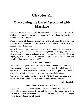# **Overcoming the Curse Associated with Marriage**

How does a woman come out of this apparently hopeless state of affairs? By wisdom! It is possible to overcome the desire for a husband by applying the wisdom in the Word of God.

When a woman of direction applies the wisdom of God, she will perceive marriage in the right context. I want you to see and understand what marriage can and cannot do for you.

You will have a blind desire for a husband when you don't understand what God is trying to do for you. You can be single and very happy. All women whether married or unmarried need to get this right. This is not a teaching for single people. It is a teaching for women with direction. A woman must ask herself, "What is my purpose in life?"

#### **A Woman's Purpose**

God has ordained great works for every woman. When an unmarried woman discovers that her main purpose is to accomplish the will of God, she will be content. When a married woman discovers that her main purpose in this life is to do the will of the Father, she will become a fulfilled woman.

#### **For we are his workmanship, created in Christ Jesus unto good works, which God hath before ordained that we should walk in them.**

**Ephesians 2:10**

#### **Don't Look for Happiness in a Man**

If you look to your husband (even Christian husbands) for fulfilment, you will not be a happy person. If you look to God for fulfilment you will be satisfied. Many married women, who have discovered this concept no longer look to their husbands for fulfilment.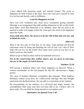I have talked with numerous single and married women. The secret to happiness for both of them is the same. Serve the Lord, give yourself to God, live for him and thereby walk in fulfilment.

# **Look for Happiness in God**

Have you ever wondered why Jesus never considered getting married? Marriage is an arrangement that adds another dimension to life on this Earth. Jesus didn't need that dimension to be fulfilled. Jesus did not need to be married in order to be happy in this life. Jesus gave the secret to his happiness upon this Earth.

## **Jesus saith unto them, My meat is to do the will of him that sent me, and to finish his work.**

# **John 4:34**

Meat is the nice part of food that we all enjoy. Jesus pointed out that his enjoyment came by doing and finishing the will of God. Let's face it! How long will you live on this Earth? How many more years do you have to go before you leave this Earth?

When we get to Heaven there will be no husbands and wives.

## **For in the resurrection they neither marry, nor are given in marriage, but are as the angels of God in heaven.**

## **Matthew 22:30**

Will having a husband affect your future happiness in Heaven? When a woman concentrates on her real purpose for this life, she becomes a happy person.

The story of Kathryn Khulman exemplifies this principle. When Kathryn Khulman walked away from her controversial marriage that had brought much pain and disillusionment, she was able to concentrate on her ministry.

By concentrating on her ministry, as a divorced and single woman, she accomplished what many men have not been able to do. I believe she's in glory today. Do you think her being married or not matters now?

# **Husbands Can Quench Your Call**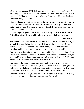Many women cannot fulfil their ministries because of their husbands. One day, they will have to give an account of their ministries that never materialised. I know female pastors who have been banned by their husbands from even going to church.

Many husbands are not comfortable with their wives being so active in the ministry. Married women may seem to be elevated socially by their marital status. But one day it is women who have fulfilled their ministries who will be proud and joyful in Heaven.

### **I have fought a good fight, I have finished my course, I have kept the faith: Henceforth there is laid up for me a crown of righteousness…**

### **2 Timothy 4:7, 8**

This crown is laid up for women with direction! Women with direction fight a good fight and finish their course. This crown is not laid up for women because they have husbands! This crown is not given to women because they have had children! It is laid up for women who have kept the faith!

Does your marriage allow you to keep the faith? Does your marriage allow you to be a Christian? Does your marriage allow you to be in the ministry, as you would love to? Does your marriage allow you to fight and finish your course? Will you finish your course of ministry?

Come out of the curse by renewing your mind. Set your eyes on things above. Women with direction, no man (even Christian men) can give you the fulfilment I am talking about. From today let this mind be in you. The curse of desiring a man to dominate you will disappear in the name of Jesus.

When this wisdom is in you, you will be a different kind of woman. It is only by renewing your mind that you can overcome the curse!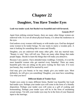## **Daughter, You Have Tender Eyes**

#### **Leah was tender eyed; but Rachel was beautiful and well favoured.**

### **Genesis 29:17**

Apart from striking external beauty, there are many other things women are endowed with. It is not all about physical beauty; it is about the tenderness in the eyes.

God endows every woman with beauty or with tender eyes. God has designed some women to be tender beings. No one wants to marry a wooden pole. A man is looking for something that is warm and friendly.

Daughter, you are endowed with many other gifts. Ask any married man. "Beauty is vain," they will tell you. There are many other things that make people happy. Decide to learn the things that will make you attractive.

Because I am a pastor, I have attended many weddings. Certainly, it is not the most beautiful women who get married every Saturday! There are many beautiful girls who are sitting on the pews waiting for their turn. If it were just beauty, they would all be married by now!

God may give you beauty or he may simply give you tender eyes. Most definitely, he will give you something! Daughter, you must have something. Use what you have!

#### **Different Kinds of Tender Eyes**

Tender eyes come in many different forms. Rachel was beautiful, but Leah had tender eyes. Perhaps your tender eyes will come in the form of a friendly disposition. Perhaps your tender eyes will come as a gift of cooking and homemaking. Perhaps your tender eyes will be in the form of enchanting sexual energy. Yet still, your tender eyes may be in the form of your financial input to the marriage.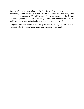Your tender eyes may also be in the form of your exciting sanguine personality. Your tender eyes may be in the form of your cool, calm phlegmatic temperament. Yet still, your tender eyes may come in the form of your strong leader's choleric personality. Again, your melancholic neatness and loyal nature may be the tender eyes that God has given you!

Daughter, thou hast tender eyes. God gave you something. Do not be filled with self-pity. You have tender eyes. Use them and be blessed!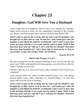## **Daughter, God Will Give You a Husband**

Uncle Laban had two daughters; both of them were eligible for marriage. When Jacob arrived in town, he was immediately attracted to the younger one, Rachel. But God ensured that Leah got married before Rachel did.

**And it came to pass in the evening, that he took Leah his daughter, and brought her to him; and he went in unto her. And Laban gave unto his daughter Leah Zilpah his maid for a handmaid. And it came to pass, that in the morning, behold, it was Leah: and he said to Laban, What is this thou hast done unto me? did not I serve with thee for Rachel? wherefore then hast thou beguiled me? And Laban said, It must not be so done in our country, to give the younger before the firstborn.**

**Genesis 29:23-26**

#### **Did No One Propose to You?**

My sister, perhaps no one has proposed marriage to you. You are just like our sister Leah. While other people received proposals, you were left out. But the Lord is working on your case.

God has a plan for you. Just as God gave Leah a husband, God will give you a husband!

Leah married before the other so-called beautiful girls. I see you getting married before many others. Marriage is a spiritual thing. It is God who opens and closes the door of marriage.

**And it came to pass in the evening, that he took Leah his daughter, and brought her to him; and he went in unto her. And Laban gave unto his daughter Leah Zilpah his maid for a handmaid. And it came to pass, that in the morning, behold, it was Leah: and he said to Laban, What is this thou hast done unto me? did not I serve with thee for Rachel? wherefore then hast thou beguiled me?**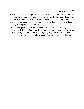#### **Genesis 29:23-25**

There is a door of marriage. When it is opened to you, no one can close it! God had determined that Leah should be married. He had even determined that Leah should be married before Rachel. No one could change that blessing. Dear daughter, if God has opened the door of marriage, there is nothing that anyone can do about it.

Rachel, by popular opinion was more beautiful than her sister, and yet she did not get married before her sister. Dear daughter, you are not going to marry because of any natural reason. You are going to get married because God is holding a door open for you. Believe it and receive it in the name of Jesus!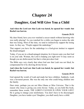## **Daughter, God Will Give You a Child**

#### **And when the Lord saw that Leah was hated, he opened her womb: but Rachel was barren.**

#### **Genesis 29:31**

My dear friend, have you ever watched a soccer match without knowing who was really playing? As you watched for a while you began to notice the side that was losing. Most of the time, we tend to instinctively support the losing team. As they say, "People support the underdogs."

That support you have for the underdogs is a God-given instinct to support the disadvantaged.

Today, if you are in a disadvantaged situation, be it known unto you that God is on your side. Woman, the Lord is helping you right now! It may seem as though you are disfavoured, but that is what provokes God.

The Bible says very clearly that when God saw that Leah was not liked, he compensated for it by showing divine favour.

#### **And when the Lord saw that Leah was hated, he opened her womb: but Rachel was barren.**

#### **Genesis 29:31**

God opened the womb of Leah and made her have children. Suddenly, Leah was a favoured person. She was the only one who could bring children into the family.

Dear sister, perhaps you are not Miss Ghana or Miss Universe. That is the reason why Jesus is giving you extra favour. Today, as you hold this book, remember these words, THE LORD'S FAVOUR IS UPON YOUR LIFE!! He is going to change your misfortunes. You don't have to be discouraged. Daughter, you have tender eyes! Daughter, you shall surely have a child.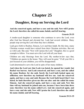## **Daughter, Keep on Serving the Lord**

**And she conceived again, and bare a son: and she said, Now will I praise the Lord: therefore she called his name Judah; and left bearing.**

#### **Genesis 29:35**

A tender-eyed daughter is someone who continues to serve the Lord, even after God has blessed and elevated her. Leah had several children. Many people stop serving the Lord when they have children.

Leah gave birth to Reuben, Simeon, Levi and then Judah. By this time, many Christian women would have retired from their Christian activities. But not so with Leah. She said, "Now will I praise the Lord." Daughter, this is a good example to follow. You must serve the Lord with all your heart.

Children are only blessings from the Lord. My mother-in-law says that, "Children are guests in the house. They will soon be gone." If all your life is just focused on your children, you will be disappointed.

Leah determined to serve the Lord in spite of her many children.

**And when the Lord saw that Leah was hated, he opened her womb: but Rachel was barren. And Leah conceived, and bare a son, and she called his name Reuben: for she said, Surely the Lord hath looked upon my affliction; now therefore my husband will love me. And she conceived again, and bare a son; and said, Because the Lord hath heard that I was hated, he hath therefore given me this son also: and she called his name Simeon. And she conceived again, and bare a son; and said, Now this time will my husband be joined unto me, because I have born him three sons: therefore was his name called Levi. And she conceived again, and bare a son: and she said, Now will I praise the Lord: therefore she called his name Judah; and left bearing.**

**Genesis 29:31-35**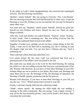In the midst of Leah's initial disappointment, she received four meaningful miracles. The first blessing was Reuben.

'Reuben', means 'behold'. She was saying to everyone, "See, I am blessed." She was showing everyone that God had blessed her in other ways. Count the blessings in your life. Perhaps you are not married, but you may be blessed in many other ways.

You must also say, "Reuben," which means "behold". *Behold* my good job. *Behold* my nice brothers and sisters. *Behold* my nice car. There are many things to behold.

After this, Leah had another son called Simeon. 'Simeon', means 'bearing'. In other words, 'God is sustaining me'. She was telling everyone that she could see the continued hand of God in her affairs.

Daughter of tender eyes, perhaps you do not have certain things in this life. Today, I want you to see that God is sustaining you. He is working in your life despite what you lack. You can also have a Simeon and say, "God is sustaining me."

Then Leah had a third child and called him Levi.

Levi means joined. By this time, Leah was convinced that God was a permanent part of her affairs. God was joined to her life.

She could only say thank you to the Lord for this third blessing. By naming her child Levi, she was telling everyone that God was a permanent part of her life. Woman with direction, do you have at least three blessings in your life? Perhaps things are not as perfect as you desire. But count your blessings and name them one by one: the blessings of life, the blessings of education, the blessings of health, parents, promotion and the list goes on.

Woman with direction, if you have at least three blessings in your life you can also say, "Levi." Which means God is joined to your life.

Finally, Leah had a fourth child and she called him Judah.

'Judah', means 'praise'. By naming her child Judah she was sending a message to the entire community. She was saying, "I am a happy woman." I may not be the most beautiful person. I may not be Jacob's first choice. But I can praise the Lord today.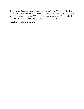Tender-eyed daughter, there is a miracle in your house. There is a blessing in the house. Surely you can say, "Behold God has blessed me." Surely you can say, "God is sustaining me." You must be able to say that, "God is joined to my life." Finally, you must be able to say, "Praise the Lord."

Daughter, you have tender eyes!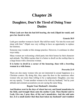## **Daughter, Don't Be Tired of Doing Your Duties**

**When Leah saw that she had left bearing, she took Zilpah her maid, and gave her Jacob to wife.**

#### **Genesis 30:9**

Leah gave another woman to Jacob. She told her maid, "Go into his room and sleep with him." Zilpah was very willing to have an opportunity to replace her mistress.

Someone may wonder at this strange practice. However, it continues in other ways today.

Many women are welcoming a third party into their homes by their character and attitude. The Bible teaches that it is better to dwell on the rooftop than in a large house with a ferocious woman.

**It is better to dwell in a corner of the housetop, than with a brawling woman in a wide house.**

#### **Proverbs 21:9**

There are also many women who are not interested in sexual happiness in a Christian context. By doing this, they open the door to the numerous other women who are more than willing to be a replacement. Daughter, you may not say openly, "I want another woman to be with my husband," but by your attitude and constant accusations you are saying the same thing.

#### **Regain Your Husband's Attention**

**And Reuben went in the days of wheat harvest, and found mandrakes in the field, and brought them unto his mother Leah. Then Rachel said to Leah, Give me, I pray thee, of thy son's mandrakes. And she said unto her, Is it a small matter that thou hast taken my husband? and wouldest**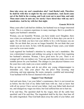**thou take away my son's mandrakes also? And Rachel said, Therefore he shall lie with thee to night for thy son's mandrakes. And Jacob came out of the field in the evening, and Leah went out to meet him, and said, Thou must come in unto me; for surely I have hired thee with my son's mandrakes. And he lay with her that night.**

#### **Genesis 30:14-16**

Many years after Leah had her children, her husband was no longer interested in her. This is a common experience in many marriages. But it is possible to regain your husband's attention.

Woman, you are beautiful. Woman, you have tender eyes! Daughter, there was a time you enchanted your man. If you did it in those days you can do it again. Do not think you have lost your ability to be a wife because you are older. Do not think that you are no longer beautiful. Do not think that your tender eyes are no more. In fact, with the passing of many years, your tender eyes can be even more tender.

Leah regained her husband's attention by using her son's mandrakes. She was a determined woman and nothing was going to stop her from regaining her husband's attention. Woman, I have good news for you. There is no younger girl who can replace you. Your age and experience make you a more suitable person for your husband. The changes in your physical features over the years have only made you a more suitable wife.

Rise up into your place and do not allow any young whippersnapper to intimidate you. Take your place! Pay the price! Stop accusing, stop criticising, and stop opposing. Be warm, energetic, youthful and interesting! Your husband will be forever charmed with your love!

#### **Support Your Husband**

And said unto them, I see your father's countenance, that it is not toward me as before; but the God of my father hath been with me. And ye know that with all my power I have served your father. And your father hath deceived me, and changed my wages ten times; but God suffered him not to hurt me.

If he said thus, The speckled shall be thy wages; then all the cattle bare speckled: and if he said thus, The ringstraked shall be thy hire; then bare all the cattle ringstraked. Thus God hath taken away the cattle of your father, and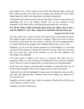given them to me. And it came to pass at the time that the cattle conceived, that I lifted up mine eyes, and saw in a dream, and, behold, the rams which leaped upon the cattle were ringstraked, speckled, and grisled.

And Rachel and Leah answered and said unto him, Is there yet any portion or inheritance for us in our father's house? Are we not counted of him strangers? for he hath sold us, and hath quite devoured also our money.

#### **For all the riches which God hath taken from our father, that is our's, and our children's: now then, whatsoever God hath said unto thee, Do.**

#### **Genesis 31:5-10, 14-16**

One day, there was a crisis in Jacob's life and he had to flee from his uncle. He could no longer work for his uncle's company. When it was time to leave, he told his wives about his new vision to relocate. His wives supported him. A woman with direction supports her husband when he has a new vision.

Daughter, try not to be the greatest opponent of your husband. It is true that you are the best person to correct him when he's wrong. This does not mean that you must lose your divine position as the one who supports and encourages your husband.

You must learn to balance your role as a corrector and your role as a supporter. When it is time to bring your husband into line, you must certainly do so! When it is time to support him, you must also do so wholeheartedly.

Some wives are always correcting their husbands so much that they see no good in them anymore. They can no longer receive or be led by them.

Leah had lived with her husband for many years, but when he came up with a new idea, she said unto him, "Whatever the Lord is telling you, please do it. We are with you."

Daughter you have tender eyes. Seek the wisdom of God and he will help you to do whatever you have to do!

Daughter, you have tender eyes!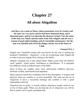### **All about Abigailism**

**And there was a man in Maon, whose possessions were in Carmel; and the man was very great, and he had three thousand sheep, and a thousand goats: and he was shearing his sheep in Carmel. Now the name of the man was Nabal; and the name of his wife Abigail: and she was a woman of good understanding, and of a beautiful countenance: but the man was churlish and evil in his doings; and he was of the house of Caleb.**

#### **1 Samuel 25:2, 3**

Abigail was a beautiful woman who was known for her role in curbing her husband's foolishness. '*Abigailism*', is the art of practising what Abigail did in order to prevent tragedy from coming to the family.

Abigail's husband was a man called Nabal. Nabal comes from the Hebrew word "qasheh", which means "foolishness or churlishness." It is translated into different words in different parts of the Bible.

Some of these are: roughly, hard, cruel, stiff-necked, stubborn, grievous, obstinate, trouble, hard-hearted and impudent.

Many married women have husbands who fit this description. A woman with direction must use wisdom to co-exist peacefully. She must use the art of *Abigailism* to have a successful marriage and combine it with a good relationship with God.

*Abigailism* has six goals. A woman without *Abigailism* usually achieves one or two of these goals. When you develop the art of *Abigailism* you will be able to achieve all six goals simultaneously.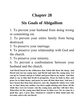# **Six Goals of Abigailism**

1. To prevent your husband from doing wrong or committing sin.

2. To prevent your entire family from being destroyed.

3. To preserve your marriage.

4. To preserve your relationship with God and the church.

5. To preserve your ministry.

6. To prevent a confrontation between your husband and the church.

**And David heard in the wilderness that Nabal did shear his sheep. And David sent out ten young men, and David said unto the young men, Get you up to Carmel, and go to Nabal, and greet him in my name: And thus shall ye say to him that liveth in prosperity, Peace be both to thee, and peace be to thine house, and peace be unto all that thou hast. And now I have heard that thou hast shearers: now thy shepherds which were with us, we hurt them not, neither was there ought missing unto them, all the while they were in Carmel. Ask thy young men, and they will shew thee. Wherefore let the young men find favour in thine eyes: for we come in a good day: give, I pray thee, whatsoever cometh to thine hand unto thy servants, and to thy son David.**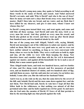**And when David's young men came, they spake to Nabal according to all those words in the name of David, and ceased. And Nabal answered David's servants, and said, Who is David? and who is the son of Jesse? there be many servants now a days that break away every man from his master. Shall I then take my bread, and my water, and my flesh that I have killed for my shearers, and give it unto men, whom I know not whence they be?**

**So David's young men turned their way, and went again, and came and told him all those sayings. And David said unto his men, Gird ye on every man his sword. And they girded on every man his sword; and David also girded on his sword: and there went up after David about four hundred men; and two hundred abode by the stuff.**

**But one of the young men told Abigail, Nabal's wife, saying, Behold, David sent messengers out of the wilderness to salute our master; and he railed on them. But the men were very good unto us, and we were not hurt, neither missed we anything, as long as we were conversant with them, when we were in the fields: They were a wall unto us both by night and day, all the while we were with them keeping the sheep. Now therefore know and consider what thou wilt do; for evil is determined against our master, and against all his household: for he is such a son of Belial, that a man cannot speak to him.**

**Then Abigail made haste, and took two hundred loaves, and two bottles of wine, and five sheep ready dressed, and five measures of parched corn, and an hundred clusters of raisins, and two hundred cakes of figs, and laid them on asses. And she said unto her servants, Go on before me; behold, I come after you. But she told not her husband Nabal.**

**And it was so, as she rode on the ass, that she came down by the covert of the hill, and, behold, David and his men came down against her; and she met them. Now David had said, Surely in vain have I kept all that this fellow hath in the wilderness, so that nothing was missed of all that pertained unto him: and he hath requited me evil for good. So and more also do God unto the enemies of David, if I leave of all that pertain to him by the morning light any that pisseth against the wall.**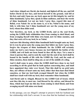**And when Abigail saw David, she hasted, and lighted off the ass, and fell before David on her face, and bowed herself to the ground, And fell at his feet, and said, Upon me, my lord, upon me let this iniquity be: and let thine handmaid, I pray thee, speak in thine audience, and hear the words of thine handmaid. Let not my lord, I pray thee, regard this man of Belial, even Nabal: for as his name is, so is he; Nabal is his name, and folly is with him: but I thine handmaid saw not the young men of my lord, whom thou didst send.**

**Now therefore, my lord, as the LORD liveth, and as thy soul liveth, seeing the LORD hath withholden thee from coming to shed blood, and from avenging thyself with thine own hand, now let thine enemies, and they that seek evil to my lord, be as Nabal.**

**And now this blessing which thine handmaid hath brought unto my lord, let it even be given unto the young men that follow my lord. I pray thee, forgive the trespass of thine handmaid: for the LORD will certainly make my lord a sure house; because my lord fighteth the battles of the LORD, and evil hath not been found in thee all thy days. Yet a man is risen to pursue thee, and to seek thy soul: but the soul of my lord shall be bound in the bundle of life with the LORD thy God; and the souls of thine enemies, them shall he sling out, as out of the middle of a sling.**

**And it shall come to pass, when the LORD shall have done to my lord according to all the good that he hath spoken concerning thee, and shall have appointed thee ruler over Israel; That this shall be no grief unto thee, nor offence of heart unto my lord, either that thou hast shed blood causeless, or that my lord hath avenged himself: but when the LORD shall have dealt well with my lord, then remember thine handmaid.**

**And David said to Abigail, Blessed be the LORD God of Israel, which sent thee this day to meet me: And blessed be thy advice, and blessed be thou, which hast kept me this day from coming to shed blood, and from avenging myself with mine own hand.**

#### **1 Samuel 25:4-33**

In this passage, you see Abigail's attempt to preserve both her husband and her relationship with God's servant. It was clear that her husband was doing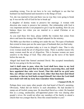something wrong. You do not have to be very intelligent to see that her husband was hard-hearted and insensitive to the things of God.

Yet, she was married to him and there was no way they were going to break up. It was not the will of God for her to break up!

A daughter of destiny wants to preserve her marriage. A woman with direction also wants to preserve her ministry. Her relationship with God is very important and she is not prepared to give it up for anything. How do you balance these two when you are married to a carnal Christian or an unbeliever?

As you read these few lines, please imbibe the wisdom that comes from above and learn the strategy that Abigail adopted for the ministry.

The Bible says that there is nothing new under the sun. The types of husbands that existed in times past are the same types of husbands that you find today.

Churlishness is as prevalent today as it was in Abigail's time. That is why every woman needs the art of *Abigailism* today. There is another reason why many women need the art of *Abigailism*. This is because women are more sensitive to the things of God. They often pick up the move of the Spirit before the men do.

Abigail had heard that Samuel anointed David. She accepted immediately that he was going to be the next king.

**And it shall come to pass, when the Lord shall have done to my lord according to all the good that he hath spoken concerning thee, and shall have appointed thee ruler over Israel; That this shall be no grief unto thee, nor offence of heart unto my lord, either that thou hast shed blood causeless, or that my lord hath avenged himself: but when the Lord shall have dealt well with my lord, then remember thine handmaid.**

#### **1 Samuel 25:30, 31**

Perhaps there were many other people who had heard of David's anointing. Obviously, Nabal did not believe in such absurdities. He had decided to stamp out all foolish young men. He described David as a rebel. He branded him as a young, uneducated, self-appointed pastor who was chasing after people's wives. He would not allow any members of his family to attend a church that was younger than he. Does this sound familiar to you?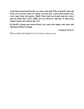**And Nabal answered David's servants, and said, Who is David? and who is the son of Jesse? there be many servants now a days that break away every man from his master. Shall I then take my bread, and my water, and my flesh that I have killed for my shearers, and give it unto men, whom I know not whence they be?**

**So David's young men turned their way, and went again, and came and told him all those sayings.**

**1 Samuel 25:10-12**

What exactly did Abigail do? Let us take it step by step.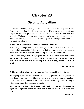## **Steps to Abigailism**

In medical science, when you are able to make out the diagnosis of the disease you are often far advanced in curing it. If you are not able to put your finger on the exact problem, it is often difficult to solve it. You will ask yourself, "Which of these one thousand different medications should I administer to the patient?" You are still very far from the problem when you have not identified it.

#### **1. The first step to solving many problems is diagnosis.**

First, Abigail recognized and acknowledged truthfully that she was married to a churlish personality. Acknowledging that your husband has the character and the tendencies of Nabal is the first step in the art of *Abigailism*.

**Let not my lord, I pray thee, regard this man of Belial, even Nabal: for as his name is, so is he; Nabal is his name, and folly is with him: but I thine handmaid saw not the young men of my lord, whom thou didst send.**

**1 Samuel 25: 25**

#### **2. The second step is to stop pretending that the problem is not there.**

Many people practise what we call denial. They pretend that the problem is not there. They say that black is white and white is black. Daughter, pretending that a problem is not there does not make it go away. Calling a white thing black does not make it black.

**Woe unto them that call evil good, and good evil; that put darkness for light, and light for darkness; that put bitter for sweet, and sweet for bitter!**

**Isaiah 5:20**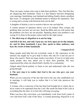There are many women who want to hide their problems. They feel that they are disgracing their husbands. There is a fine balance between denigrating your marriage, humiliating your husband and talking frankly about a problem that exists. To denigrate your husband means to blacken his reputation. This is wrong and a woman with direction does not do that!

A daughter of destiny is not so secretive that no one can help her.

A certain amount of openness allows you to be helped. Dear woman, the problems that you have are not new. Read the Bible and you will realize that the problems you have are not peculiar. Speaking about your problem is not wrong if it is done in the proper context and for the right reason.

#### **3. The third step of** *Abigailism* **is to ask for help.**

#### **And fell at his feet, and said, Upon me, my lord, upon me let this iniquity be: and let thine handmaid, I pray thee, speak in thine audience, and hear the words of thine handmaid.**

#### **1 Samuel 25:24**

Many people need help but not everybody wants it. My experience in the ministry has taught me to give help to those who ask for it and not just to those who need it. There are many needs everywhere. If you try to help some needy people, they may attack you to show their gratitude. We once experienced this when our church built a facility for a community.

Abigail asked David politely to listen to her and understand what she was going through.

#### **4. The next step is to realize that God is the one who gave you your husband.**

When you are conscious of the fact that God is the one who established you in marriage, it will help you to realize that it is God who preserves the marriage.

A woman, who is conscious of the fact that God brought her to where she is, never wants to be separated from the Lord. She needs the help of the Lord in everything that she does. It is God who will keep you going.

When you have this conviction, you immediately work from God's point of view and from God's side of the fence. A woman practising *Abigailism* is on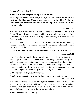the side of the Word of God.

**5. The next step is to speak wisely to your husband.**

**And Abigail came to Nabal; and, behold, he held a feast in his house, like the feast of a king; and Nabal's heart was merry within him, for he was very drunken: wherefore she told him nothing, less or more, until the morning light.**

#### **1 Samuel 25:36**

The Bible says here that she told him "nothing, less or more". She did two things. First of all, she said nothing to him. It is not wise to say some things. If she had told of her donations to King David, she may have been executed that very night.

Secondly, "less or more" means in other words, she did not say anything unusual to him. Her conversation with him did not centre on the controversial issues. She told him only what he needed to know.

#### **A fool uttereth all his mind: but a wise man keepeth it in till afterwards.**

#### **Proverbs 29:11**

If you learn how to speak wisely, you will be successful at *Abigailism*. Some women quarrel with their husbands constantly. They fight about every issue and argue about every point. Men do not like arguments. Men do not like to be shouted at. Men do not like to feel they have lost an argument. No man likes to be put down. Be wise when dealing with men. Abigailism is the key you need. *Abigailism* means that you speak wisely to your husband.

#### **6. The next step is to give soft answers**.

### **A soft answer turneth away wrath: but grievous words stir up anger. Proverbs 15:1**

A woman practising *Abigailism* employs the weapon of soft answers. A man gravitates towards a woman with soft answers. A man yields unknowingly to a woman with soft answers. Be a woman with soft answers and you will successfully combine your marriage with your ministry.

### **7. The final step is to act wisely.**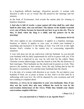In a hopelessly difficult marriage, *Abigailism* prevails. A woman with direction is able to act so wisely that she preserves her marriage and her ministry.

In the book of Ecclesiastes, God reveals the master plan for winning in hopeless situations.

**A fool also is full of words: a man cannot tell what shall be; and what shall be after him, who can tell him? The labour of the foolish wearieth every one of them, because he knoweth not how to go to the city. Woe to thee, O land, when thy king is a child, and thy princes eat in the morning!**

#### **Ecclesiastes 10:14-16**

This story applies to any circumstance. It applies to a hopeless marriage, business or church. It applies to your case, in which your husband is unyielding and insensitive to the things of God. You will win in this fight because God's wisdom is the master key to overcoming impossible situations.

A wise wife does not stir up controversy with her husband. As you provide your husband with his daily requirements he will be at peace with you. If he feels that he is deprived in any way he will look for the culprit. Many Christian women unknowingly cause the church to look like the destroyer of their marriages. Their husbands see the church and its pastors as rivals. They perceive the ministry as their enemy. Soon, the only feeling that he has for the pastor is resentment. It is sad that many husbands hate the church.

It is the duty of a woman with direction to act wisely. Do not deprive your husband of food, sex or peace at home. In fact, load it on him until he is suffocating with your love. He will be charmed by your sweetness and will have nothing to complain about.

**Likewise, ye wives, be in subjection to your own husbands; that, if any obey not the word, they also may without the word be won by the conversation (behaviour) of the wives; While they behold your chaste conversation coupled with fear.**

**1 Peter 3:1, 2**

**Are you married to a Nabal or to an Apostle Peter?**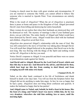Coming to church must be done with great wisdom and circumspection. If you are married to someone like Nabal, you cannot afford to behave like someone who is married to Apostle Peter. Your circumstances are entirely different!

What is the result of *Abigailism*? When the art of *Abigailism* is practised, there is peace at home and peace in the Kingdom of God. Abigail prevented David's men from killing and destroying her entire household.

Many women do not realize that when their husbands are destroyed they will be destroyed as well. The mystery of marriage is that if your husband goes down, you go with him. The entire family of Abigail and Nabal would have been destroyed by David's army. Abigail would have died with her husband and children. *Abigailism* saved their lives.

*Abigailism* also preserved Abigail's relationship with the man of God. She was still connected to the move of God that was taking place through David. You will recall that Abigail believed in the prophecy that David was to be the next king. She was flowing with the things of the Spirit and nothing would cut her off. *Abigailism* is the key you need.

Notice David's response to Abigail. It was peaceful and there were no curses or proclamations made against her family.

#### **And David said to Abigail, Blessed be the Lord God of Israel, which sent thee this day to meet me: And blessed be thy advice, and blessed be thou, which hast kept me this day from coming to shed blood, and from avenging myself with mine own hand.**

#### **1 Samuel 25:32, 33**

Nabal, on the other hand, continued in his life of foolishness and drank himself to death a few days later. You will see from the Scripture below that Abigail did not do anything to make him angry. In fact, he was so happy that he had a party. *Abigailism* does not bring about confusion and quarrels. It makes the husband so happy that he has parties!

**And Abigail came to Nabal; and, behold, he held a feast in his house, like the feast of a king; and Nabal's heart was merry within him, for he was very drunken: wherefore she told him nothing, less or more, until the morning light.**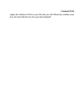### **1 Samuel 25:36**

Apply the wisdom of God to your life and you will effectively combine your love for God with the love for your dear husband!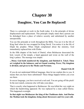## **Daughter, You Can Be Replaced!**

There is a principle at work in the Earth today. It is the principle of divine displacement and replacement. This principle simply states that a person can be dislodged from a place of relative security and substituted by another unexpectedly.

You see this principle at work throughout the Bible. You see it in the life of King Saul when he was swapped for King David. You notice it in the life of Elijah the prophet. When Elijah complained about the ministry, God immediately replaced him with Elisha.

In the fifth chapter of the book of Daniel, when Belshazzar desecrated the holy vessels of the temple, a hand appeared and wrote on the wall of the king's palace. The message was simple:

#### **...Mene; God hath numbered thy kingdom, and finished it. Tekel; Thou art weighed in the balances, and art found wanting. Peres; Thy kingdom is divided, and given to the Medes and Persians.**

#### **Daniel 5:26-28**

If you do not understand biblical language, then let me explain this to you. It means that you have been substituted! These things happen before you even see them.

In soccer language, you have received a red card. You are going off the pitch! In the next match, someone else will take your place.

That is exactly what happened to Belshazzar. He was killed the very night on which the handwriting appeared. He was replaced by a man called Darius. This happened overnight.

**In that night was Belshazzar the king of the Chaldeans slain. And Darius the Median took the kingdom, being about threescore and two years old.**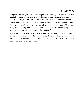Daughter, this chapter is all about displacement and replacement. If God has exalted you and placed you in a good place, please respect it and know that you could lose your position if you do not take the Word of God seriously.

I once had to tell someone's proud wife that she should be humble because there were several people who were ready to replace her. A man of God once said, "In a congregation of five hundred there are at least twenty people who are ready to sleep with the pastor at short notice."

Wherever God has placed you, be it a political, spiritual or marital position, please be conscious of the fact that it is by the grace of God. There was a woman who was displaced and replaced swiftly in a move that shocked many observers. She was called Vashti.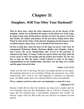### **Daughter, Will You Obey Your Husband?**

**That in those days, when the king Ahasuerus sat on the throne of his kingdom, which was in Shushan the palace, In the third year of his reign, he made a feast unto all his princes and his servants; the power of Persia and Media, the nobles and princes of the provinces, being before him: When he shewed the riches of his glorious kingdom and the honour of his excellent majesty many days, even an hundred and fourscore days.**

**On the seventh day, when the heart of the king was merry with wine, he commanded Mehuman, Biztha, Harbona, Bigtha, and Abagtha, Zethar, and Carcas, the seven chamberlains that served in the presence of Ahasuerus the king, To bring Vashti the queen before the king with the crown royal, to shew the people and the princes her beauty: for she was fair to look on. But the queen Vashti refused to come at the king's commandment by his chamberlains: therefore was the king very wroth, and his anger burned in him.**

#### **Esther 1:2-4, 10-12**

Vashti was the wife of the king. She had a privileged position as the queen. Her husband asked her to do something. Perhaps the instruction was a little controversial, but I wish to use what happened to illustrate an important point. The Bible teaches that wives should submit to their own husbands.

#### **Wives, submit yourselves unto your own husbands, as unto the Lord.**

#### **Ephesians 5:22**

Because Vashti did not obey her husband, one thing led to another and she was eventually removed. Her disobedience led to a divorce. Someone may argue that her husband gave a questionable instruction that couldn't be obeyed. I agree with you. But in this case you will have to compare two bad options: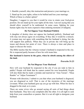1. Humble yourself, obey this instruction and preserve your marriage or,

2. Stand up for your rights, refuse to be bullied and lose your marriage. Which of these is a better option?

Daughter, I suggest to you that it would be wise to retain your God-given position. Do not stand up for your rights all the time. I am not saying that you should allow yourself to be maltreated. In some cases, fighting for your human rights may be more expensive than enduring moments of indignity.

### **Do Not Oppose Your Husband Publicly**

A daughter of destiny does not oppose her husband publicly. Husband and wife may not always agree on everything. If they did, it would be a miracle. A woman may not agree with something that her husband is doing, but she will support him publicly. When they are in private she will bring up the issues and discuss her point of view. There is always a time and place to argue or discuss the issues.

The Bible teaches that the virtuous woman's husband is respected in the city. He is respected partly because of how his wife treats him.

#### **Her husband is known in the gates, when he sitteth among the elders of the land.**

#### **Proverbs 31:23**

#### **Do Not Disgrace Your Husband**

How will your husband be respected in the city if you are rude to him in public? People will think that he cannot control his own household. People will also think that he made a mistake and married an "Ama Tarzan", "Ekua Rambo" or "Adjoa Terminator"!

Woman with direction, I submit to you that when your husband is disgraced, you are disgraced as well. That is one of the mysteries of the marriage covenant. When your husband goes up you go up with him. When his face is dragged in the mud, so is yours.

There are some wives who go around saying all sorts of bad things about their husbands. They have one complaint after the other. It is all right to seek help from your counsellors or pastors. But it is not all right to denigrate your husband.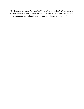"To denigrate someone," means "to blacken his reputation". Wives must not blacken the reputation of their husbands. A fine balance must be achieved between openness for obtaining advice and humiliating your husband.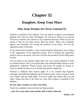## **Daughter, Keep Your Place**

### **Why Some Women Are Never Listened To**

Wisdom is justified of her children. You can choose to oppose your husband publicly but I tell you what will happen. He will never listen to you and he will never consider your opinion in any important decision! What you do not realize is that no one takes advice from his enemy. When you constantly oppose your husband, you occupy the position of an enemy. You are the opposition party to the man.

In my observation of politics, I have noticed that the ruling party never listens to the suggestions of the opposition group. This is because the opposition group is seen as an enemy who does not have the goodwill of the ruling party at heart.

I do not listen to my enemies either. But I pay very careful attention to what my friends tell me. Have you noticed that your husband hardly listens to your antagonistic outbursts? Watch closely and notice the people he listens to. They are people he perceives as friends and genuine supporters.

Wisdom is different from human rights. It is by wisdom that hopeless marriages and difficult husbands can be turned around. God is trying to teach you wisdom and not legal rights. You have rights and claims that you can make. Please feel free to do what you want. But wisdom is justified of her children.

#### **Do Not Allow Another to Take Your Place**

Vashti was suddenly removed from her high position.

#### **…give her royal estate unto another that is better than she.**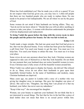Where has God established you? Has he made you a wife or a queen? If you do not respect what God has given you, you may lose it. I often tell people that there are two hundred people who are ready to replace them. No one needs to be proud or feel indispensable. We are all where we are by the grace of God.

Some women do not mind if their husbands are having affairs. They say, "Just do not let me know about it." Decide that you will not allow anything or anyone to take your place. A woman with direction understands the principle of divine displacement and replacement.

#### **To bring Vashti the queen before the king with the crown royal, to shew the people and the princes her beauty: for she was fair to look on.**

### **Esther 1:11**

Vashti made a tragic mistake. She had one great asset that God had given to her, that was her physical beauty. Every woman has been given her beauty as a gift from God. You used your beauty to get the man. You must use it to keep him. You used your beauty to attract the man. You must use it to keep your place.

Some wives do not care anymore about how they look. Christian women are supposed to take care of themselves so that they look beautiful. Do not think for one moment that your husband does not notice beautiful women in town. Every Christian man is fully aware of all the beautiful women around him.

When Vashti was called upon to display her beauty, she did not! She refused to do so. Many wives do not allow their husbands to gaze upon their beautifully formed bodies. In the name of bashfulness and modesty, many Christian husbands are deprived.

Many years ago, my pastor in London told a story of a mother who was giving her daughter away in marriage. She gave her daughter one piece of advice. She said to her, "Daughter, one thing that I am proud of is that my husband, your father, has never seen my nakedness."

"Keep it that way!" she encouraged her daughter.

Woman, use your beauty to captivate your husband. Do not think that he is not interested in sexual things. The fact that he lies in the bed like a piece of dead timber does not mean that there is no sexual power within him.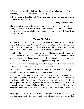Unknown to you, his mind may be captivated by other women. Love is something that needs stirring and awakening.

#### **I charge you, O daughters of Jerusalem, that ye stir not up, nor awake my love, until he please.**

#### **Song of Solomon 8:4**

Christian ladies should stir up their husbands' interest with their physical beauty. I realize that many women do not believe this advice is necessary. However, as cases of adultery and divorce occur, people will take these things seriously.

#### **The Old Man's Dog**

The human body is wonderfully created by God. The power of the flesh is so strong that it must never be underestimated. In 1983, I met an old man in a little village in the north of England. This man told me that he had lost his dog. He was perturbed and mumbled on about the power of sex.

Initially, I did not understand him. He was an old man whose only friend was his dog. Eventually, I understood that his dog had deserted him and run after a female dog in the village. Being his only friend, the old man was surprised that the power of sex had been able to separate his dog from him.

All that I am saying is that sex is powerful. A daughter of destiny understands this reality. Why quarrel with someone you can charm?

Do not say that your husband is not interested; he is! Perhaps you are a proud queen like Vashti, who is not prepared to do certain things.

A proud queen will not satisfy her husband's sexual desire. A proud queen will not be prepared to have sex for any reason other than pregnancy. A proud queen will refuse all forms of sexual variations other than the basics. A proud queen will be too dignified to do anything unusual to excite her husband. A proud queen behaves like a cadaver in bed. Like a huge anaconda, she rarely moves her coiled body. She is too noble to make any movements.

Years ago, I remember a young man who gave his life to Jesus. This young man had been involved in pornography and all forms of licentiousness. His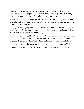room was always covered with photographs and posters of naked women. After he got saved, he put away all these things and began to live a straight life. He got married and was faithful to his wife for many years.

When his wife became pregnant she banned him from coming near her until after she had delivered. Mind you, this was not due to medical advice. She just did not want to have sex.

After years of staying faithful, this husband turned once again to a life of lewdness and fornication. Five months into the pregnancy, he began to have affairs with other girls in his community.

His proud queen would still not hear of him coming near her until the pregnancy was over. From that time onwards, their marriage deteriorated into a cat and dog fight in which the husband had numerous extramarital affairs.

Secondary school girls took over from this twentieth century Queen Vashti.

Daughter, thou hast a body, please use it, otherwise you will be replaced!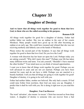### **Daughter of Destiny**

**And we know that all things work together for good to them that love God, to them who are the called according to his purpose.**

#### **Romans 8:28**

All things work together for good for a daughter of destiny. Esther had neither father nor mother. She was an orphan in the care of her cousin Mordecai. Many people would have given up on life after becoming an orphan at an early age. She could have moaned and whined that she was not receiving motherly and fatherly care at the hands of Mordecai.

Please notice the second part of the Scripture. It says that all things work together for good to them that love God. Do you love the Lord?

A woman with direction has her heart set upon the Lord. Perhaps today you are asking yourself, "Why did I marry this man?" Perhaps your life has taken many different twists and turns. You ask yourself, "Shouldn't I have married the other brother?" Your mind races as you think of missed opportunities.

I want you to know that all things work together for good. Perhaps you are well advanced in years and are not yet married. Perhaps you have been married for years and do not have a child. Perhaps you are married to a beastly husband. I tell you that all things are going to work together for good! Daughter of destiny, it is going to be well with you.

Esther had neither father, mother nor beloved. She only had a cousin. If God could raise Esther from nowhere, then God can raise you up. Daughter, I predict that it shall be well with you. He is doing it right now as you read this book.

#### **Daughter, You Can Recover**

The word 'salvation', also means 'to rescue'. Christ has rescued us from deep waters. A daughter of destiny is someone who can recover from a bad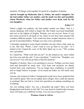situation. All things work together for good for a daughter of destiny.

**And he brought up Hadassah, that is, Esther, his uncle's daughter: for she had neither father nor mother, and the maid was fair and beautiful; whom Mordecai, when her father and mother were dead, took for his own daughter.**

### **Esther 2:7**

Esther's plight was pathetic; she had neither mother nor father. That is a serious handicap with which to begin life. But Esther recovered beautifully and rose to the highest of heights. Woman, you can recover! Some of you have been involved in all kinds of sin. Some of you have been around with countless different people. Your womb has been scraped numerous times to get rid of unwanted babies. Perhaps you were even a prostitute.

I remember speaking to some church members one day when a lady came up to me. She said, "Pastor, I don't want to ever go back to my past." As I looked at her I heard the voice of the Holy Spirit say to me, "This woman was a prostitute."

So I asked her, "What work did you do?" As she looked at me, tears welled up in her eyes and she said, "I was a prostitute." I said to her, "Daughter, you can recover! You will not go back to that life anymore."

Daughter of destiny, there is an anointing to recover. Perhaps you have been used and discarded by many men. Your heart and emotions are deeply scarred from your experiences. You no longer have confidence in yourself and no longer believe in people. As he raised up Esther, he will surely raise you up.

Anyone who looked at Esther's background would never have predicted that she could be queen. She was an orphan and a refugee. How could she amount to anything? But our God is a God who specializes in making something out of nothing.

Are you nothing today? Are you a discarded rag today? Have you been disappointed and broken in this life? Let your heart be healed today because Jesus will make you a different woman. I see you recovering now!!

#### **Woman, Listen to Advice**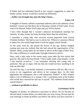If Esther had not submitted herself to her cousin's suggestion to enter the beauty contest, history would have turned out differently.

### **…Esther was brought also unto the king's house…**

#### **Esther 2:8**

A daughter of destiny submits to parental authority and to the authority of her husband. I assure you that there are no blessings outside of God's plan. If you want to be blessed, follow God's plan and you will be healed.

I have often thought that a woman's physical development outstrips her maturity. In other words, her body develops faster than her mind does.

I remember a young lady who received several proposals from several Christian brothers. She had no one to advise her. Whenever someone offered to marry her, she would laugh about it with her giggly school friends.

As the years went by, she passed the flower of her age. Suitors stopped coming and soon she realized that she had missed the opportunities of her lifetime. Many young ladies do not listen to advice at this stage of their lives. Oh, what a difference it would make if people listened to advice.

Once, such a lady came to her senses many years after the best suitors had gone by. She said to her best friend, "I have really made a big mistake. I wish I had married so-and-so." I can remember advising this young lady in particular. She got so angry with me that she would not have anything to do with me after that.

Up until this day, I can hardly maintain a conversation with her. She was so averse to my suggestions and advice in her younger days. As this lady approaches her menopause, she is still unmarried. Zimbo!\* A little wisdom makes a lot of difference to a woman's life. I sometimes look at the brother who would have married her and say to myself, "My stubborn friend missed a good chance."

#### **…wisdom is profitable to direct.**

### **Ecclesiastes 10:10**

Daughter of destiny, be submissive and listen to advice. Do not become an old and lonely woman before you admit that you were wrong. Do not wait for your marriage to break up before you believe the advice you have received. I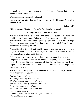personally think that some people want bad things to happen before they submit to the Word of God.

Woman, Nothing Happens by Chance!

### **…and who knoweth whether thou art come to the kingdom for such a time as this?**

**Esther 4:14**

\*The expression *"Zimbo"* is the author's colloquial exclamation.

# **A Daughter Must Help Her Father**

The years went by and Esther was established as the queen of the land. But trouble brewed and soon Esther was called upon to help. Her cousin reminded her of how she was in a privileged position. He told her, "Perhaps there is a reason why you are here. Perhaps this is why God allowed you to be elevated to this lofty position."

A daughter of destiny will not quickly forget where she came from. She is prepared to help her father. Esther helped Mordecai. A daughter of destiny will remember her father and help him.

Esther may never have known what it cost Mordecai to care for her. Daughter, help your fathers in the natural! Daughter, help your spiritual father! Remember him and remember all that he has done for you. Don't forget what he has done for you. Perhaps, you will never know the price he paid to care for you.

This is a wonderful poem from a daughter to her father. Perhaps you could write these words to your father.

*Dad, as I was growing up, You always made my world feel safe. The dear calm of your voice, calmed me And the strong circle of your arms circled me. I never felt vulnerable or afraid, Because to me, you seemed unshakable. As I got older, though, It dawned on me that the world you faced everyday Was a lot bigger and scarier*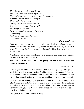*Than the one you had created for me. And I wondered, sometimes, if you felt Like relying on someone else's strength for a change Now that I am an adult and living on The outside of your safety net, I finally understand what sacrifices You made to make sure "my world" Felt alright all the time. Growing up in the sanctuary of your love Is something I will always cherish and a memory I could never forget.*

### *Dierdra J. Brown*

I am sometimes amazed that people, who have lived with others and at the expense of relatives all their lives, would not like to help anyone in later years. They close the doors to other needy people. They forget what someone did for them.

A virtuous woman has a kind heart. She is generous and helps many people, even those who do not deserve it.

#### **She stretcheth out her hand to the poor; yea, she reacheth forth her hands to the needy.**

## **Proverbs 31:20**

Perhaps you are the wife of some important personality today. Perhaps you are living in a rich western nation. Nothing happens by chance. Esther was not a beautiful woman by chance. Her parents did not die by chance. If her parents had been alive, they might not have put her up for the beauty contest.

Perhaps you are occupying a position in which you can employ many Christians. Please note that it is for a reason. God is the one who established you wherever you are. He will come knocking at your door to ask you for your help. Will you help the cause of the gospel when it is your turn to do so, or will you find an excuse?

#### **Daughter, God Comes before Marriage!**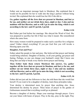Esther sent an important message back to Mordecai. She explained that it would not be possible for her to walk into the king's parlour without being invited. She explained that she would lose her life if she did so.

## **Go, gather together all the Jews that are present in Shushan, and fast ye for me, and neither eat nor drink three days, night or day: I also and my maidens will fast likewise; and so will I go in unto the king, which is not according to the law: and if I perish, I perish**

# **Esther 4:16**

But Esther put God before her marriage. She obeyed the Word of God. She was prepared to sacrifice her life if that was what it meant. She remembered where she came from.

How many women would be prepared to make such a sacrifice for a religious cause? Esther risked everything! If you put God first you will invoke a blessing upon your life.

## **Daughter, Fast and Pray!**

Esther asked the people to fast and pray. She believed that prayer and fasting would bring solutions. Daughter of destiny, in all your getting, get prayer and fasting. Perhaps, no one can change your husband's mind. But I know one thing that can help to break every barrier down prayer and fasting.

**Then Esther bade them return Mordecai this answer, Go, gather together all the Jews that are present in Shushan, and fast ye for me, and neither eat nor drink three days, night or day: I also and my maidens will fast likewise; and so will I go in unto the king, which is not according to the law: and if I perish, I perish.**

## **Esther 4:15, 16**

Esther did not just ask her followers to fast; she told them that she would fast herself. If you want to be a daughter of destiny, learn these principles today.

Your destiny is determined more by prayer than anything else. Jesus determined his destiny by prayer. Three hours of prayer in the garden of Gethsemane ensured that everything would go as planned.

Become a daughter of destiny. Shape your marriage through prayer. Carve out your future with hours of prayer. Pray in the day, pray in the night. Pray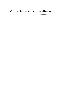all the time. Daughter of destiny, pray without ceasing!

\*\*\*\*\*\*\*\*\*\*\*\*\*\*\*\*\*\*\*\*